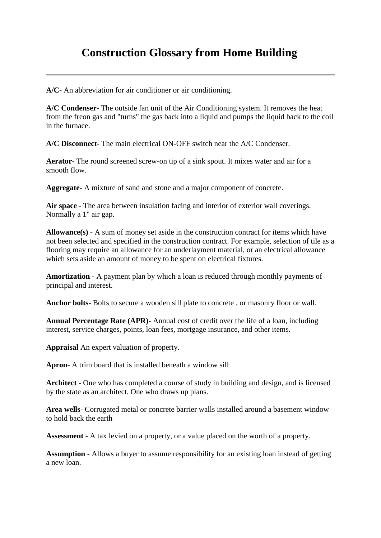## **Construction Glossary from Home Building**

**A/C**- An abbreviation for air conditioner or air conditioning.

**A/C Condenser**- The outside fan unit of the Air Conditioning system. It removes the heat from the freon gas and "turns" the gas back into a liquid and pumps the liquid back to the coil in the furnace.

**A/C Disconnect**- The main electrical ON-OFF switch near the A/C Condenser.

**Aerator**- The round screened screw-on tip of a sink spout. It mixes water and air for a smooth flow.

**Aggregate**- A mixture of sand and stone and a major component of concrete.

**Air space** - The area between insulation facing and interior of exterior wall coverings. Normally a 1" air gap.

**Allowance(s)** - A sum of money set aside in the construction contract for items which have not been selected and specified in the construction contract. For example, selection of tile as a flooring may require an allowance for an underlayment material, or an electrical allowance which sets aside an amount of money to be spent on electrical fixtures.

**Amortization** - A payment plan by which a loan is reduced through monthly payments of principal and interest.

**Anchor bolts**- Bolts to secure a wooden sill plate to concrete , or masonry floor or wall.

**Annual Percentage Rate (APR)**- Annual cost of credit over the life of a loan, including interest, service charges, points, loan fees, mortgage insurance, and other items.

**Appraisal** An expert valuation of property.

**Apron**- A trim board that is installed beneath a window sill

**Architect** - One who has completed a course of study in building and design, and is licensed by the state as an architect. One who draws up plans.

**Area wells**- Corrugated metal or concrete barrier walls installed around a basement window to hold back the earth

**Assessment** - A tax levied on a property, or a value placed on the worth of a property.

**Assumption** - Allows a buyer to assume responsibility for an existing loan instead of getting a new loan.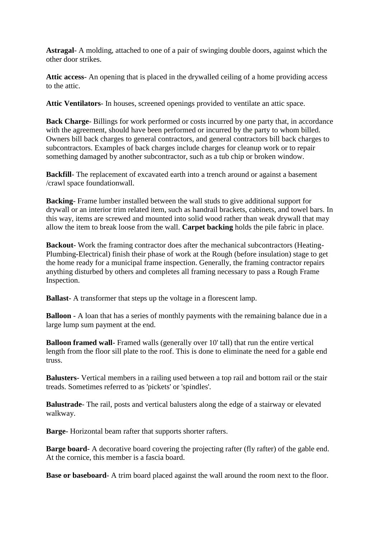**Astragal**- A molding, attached to one of a pair of swinging double doors, against which the other door strikes.

**Attic access**- An opening that is placed in the drywalled ceiling of a home providing access to the attic.

**Attic Ventilators**- In houses, screened openings provided to ventilate an attic space.

**Back Charge**- Billings for work performed or costs incurred by one party that, in accordance with the agreement, should have been performed or incurred by the party to whom billed. Owners bill back charges to general contractors, and general contractors bill back charges to subcontractors. Examples of back charges include charges for cleanup work or to repair something damaged by another subcontractor, such as a tub chip or broken window.

**Backfill**- The replacement of excavated earth into a trench around or against a basement /crawl space foundationwall.

**Backing**- Frame lumber installed between the wall studs to give additional support for drywall or an interior trim related item, such as handrail brackets, cabinets, and towel bars. In this way, items are screwed and mounted into solid wood rather than weak drywall that may allow the item to break loose from the wall. **Carpet backing** holds the pile fabric in place.

**Backout**- Work the framing contractor does after the mechanical subcontractors (Heating- Plumbing-Electrical) finish their phase of work at the Rough (before insulation) stage to get the home ready for a municipal frame inspection. Generally, the framing contractor repairs anything disturbed by others and completes all framing necessary to pass a Rough Frame Inspection.

**Ballast**- A transformer that steps up the voltage in a florescent lamp.

**Balloon** - A loan that has a series of monthly payments with the remaining balance due in a large lump sum payment at the end.

**Balloon framed wall**- Framed walls (generally over 10' tall) that run the entire vertical length from the floor sill plate to the roof. This is done to eliminate the need for a gable end truss.

**Balusters**- Vertical members in a railing used between a top rail and bottom rail or the stair treads. Sometimes referred to as 'pickets' or 'spindles'.

**Balustrade**- The rail, posts and vertical balusters along the edge of a stairway or elevated walkway.

**Barge**- Horizontal beam rafter that supports shorter rafters.

**Barge board-** A decorative board covering the projecting rafter (fly rafter) of the gable end. At the cornice, this member is a fascia board.

**Base or baseboard**- A trim board placed against the wall around the room next to the floor.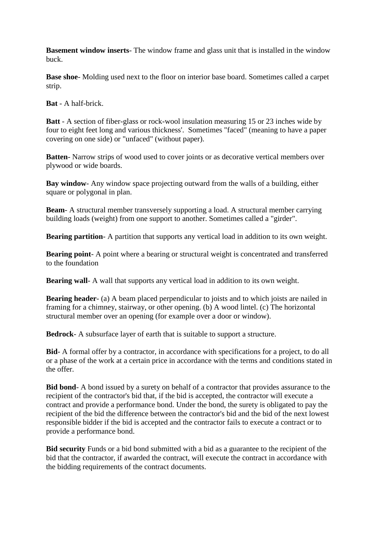**Basement window inserts**- The window frame and glass unit that is installed in the window buck.

**Base shoe**- Molding used next to the floor on interior base board. Sometimes called a carpet strip.

**Bat** - A half-brick.

**Batt** - A section of fiber-glass or rock-wool insulation measuring 15 or 23 inches wide by four to eight feet long and various thickness'. Sometimes "faced" (meaning to have a paper covering on one side) or "unfaced" (without paper).

**Batten**- Narrow strips of wood used to cover joints or as decorative vertical members over plywood or wide boards.

**Bay window**- Any window space projecting outward from the walls of a building, either square or polygonal in plan.

**Beam**- A structural member transversely supporting a load. A structural member carrying building loads (weight) from one support to another. Sometimes called a "girder".

**Bearing partition**- A partition that supports any vertical load in addition to its own weight.

**Bearing point**- A point where a bearing or structural weight is concentrated and transferred to the foundation

**Bearing wall**- A wall that supports any vertical load in addition to its own weight.

**Bearing header-** (a) A beam placed perpendicular to joists and to which joists are nailed in framing for a chimney, stairway, or other opening. (b) A wood lintel. (c) The horizontal structural member over an opening (for example over a door or window).

**Bedrock**- A subsurface layer of earth that is suitable to support a structure.

**Bid**- A formal offer by a contractor, in accordance with specifications for a project, to do all or a phase of the work at a certain price in accordance with the terms and conditions stated in the offer.

**Bid bond**- A bond issued by a surety on behalf of a contractor that provides assurance to the recipient of the contractor's bid that, if the bid is accepted, the contractor will execute a contract and provide a performance bond. Under the bond, the surety is obligated to pay the recipient of the bid the difference between the contractor's bid and the bid of the next lowest responsible bidder if the bid is accepted and the contractor fails to execute a contract or to provide a performance bond.

**Bid security** Funds or a bid bond submitted with a bid as a guarantee to the recipient of the bid that the contractor, if awarded the contract, will execute the contract in accordance with the bidding requirements of the contract documents.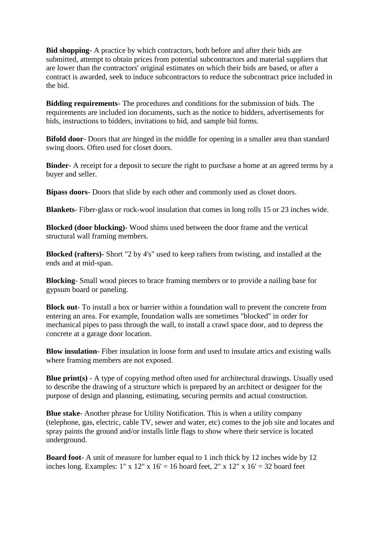**Bid shopping**- A practice by which contractors, both before and after their bids are submitted, attempt to obtain prices from potential subcontractors and material suppliers that are lower than the contractors' original estimates on which their bids are based, or after a contract is awarded, seek to induce subcontractors to reduce the subcontract price included in the bid.

**Bidding requirements**- The procedures and conditions for the submission of bids. The requirements are included ion documents, such as the notice to bidders, advertisements for bids, instructions to bidders, invitations to bid, and sample bid forms.

**Bifold door**- Doors that are hinged in the middle for opening in a smaller area than standard swing doors. Often used for closet doors.

**Binder**- A receipt for a deposit to secure the right to purchase a home at an agreed terms by a buyer and seller.

**Bipass doors**- Doors that slide by each other and commonly used as closet doors.

**Blankets**- Fiber-glass or rock-wool insulation that comes in long rolls 15 or 23 inches wide.

**Blocked (door blocking)**- Wood shims used between the door frame and the vertical structural wall framing members.

**Blocked (rafters)**- Short "2 by 4's" used to keep rafters from twisting, and installed at the ends and at mid-span.

**Blocking**- Small wood pieces to brace framing members or to provide a nailing base for gypsum board or paneling.

**Block out**- To install a box or barrier within a foundation wall to prevent the concrete from entering an area. For example, foundation walls are sometimes "blocked" in order for mechanical pipes to pass through the wall, to install a crawl space door, and to depress the concrete at a garage door location.

**Blow insulation**- Fiber insulation in loose form and used to insulate attics and existing walls where framing members are not exposed.

**Blue print(s)** - A type of copying method often used for architectural drawings. Usually used to describe the drawing of a structure which is prepared by an architect or designer for the purpose of design and planning, estimating, securing permits and actual construction.

**Blue stake**- Another phrase for Utility Notification. This is when a utility company (telephone, gas, electric, cable TV, sewer and water, etc) comes to the job site and locates and spray paints the ground and/or installs little flags to show where their service is located underground.

**Board foot**- A unit of measure for lumber equal to 1 inch thick by 12 inches wide by 12 inches long. Examples:  $1''$  x  $12''$  x  $16' = 16$  board feet,  $2''$  x  $12''$  x  $16' = 32$  board feet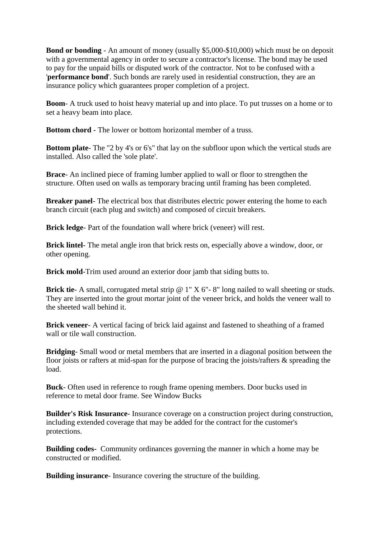**Bond or bonding** - An amount of money (usually \$5,000-\$10,000) which must be on deposit with a governmental agency in order to secure a contractor's license. The bond may be used to pay for the unpaid bills or disputed work of the contractor. Not to be confused with a '**performance bond**'. Such bonds are rarely used in residential construction, they are an insurance policy which guarantees proper completion of a project.

**Boom**- A truck used to hoist heavy material up and into place. To put trusses on a home or to set a heavy beam into place.

**Bottom chord** - The lower or bottom horizontal member of a truss.

**Bottom plate**- The "2 by 4's or 6's" that lay on the subfloor upon which the vertical studs are installed. Also called the 'sole plate'.

**Brace**- An inclined piece of framing lumber applied to wall or floor to strengthen the structure. Often used on walls as temporary bracing until framing has been completed.

**Breaker panel-** The electrical box that distributes electric power entering the home to each branch circuit (each plug and switch) and composed of circuit breakers.

**Brick ledge**- Part of the foundation wall where brick (veneer) will rest.

**Brick lintel**- The metal angle iron that brick rests on, especially above a window, door, or other opening.

**Brick mold-Trim used around an exterior door jamb that siding butts to.** 

**Brick tie-** A small, corrugated metal strip @ 1" X 6"- 8" long nailed to wall sheeting or studs. They are inserted into the grout mortar joint of the veneer brick, and holds the veneer wall to the sheeted wall behind it.

**Brick veneer**- A vertical facing of brick laid against and fastened to sheathing of a framed wall or tile wall construction.

**Bridging**- Small wood or metal members that are inserted in a diagonal position between the floor joists or rafters at mid-span for the purpose of bracing the joists/rafters & spreading the load.

**Buck**- Often used in reference to rough frame opening members. Door bucks used in reference to metal door frame. See Window Bucks

**Builder's Risk Insurance**- Insurance coverage on a construction project during construction, including extended coverage that may be added for the contract for the customer's protections.

**Building codes-** Community ordinances governing the manner in which a home may be constructed or modified.

**Building insurance**- Insurance covering the structure of the building.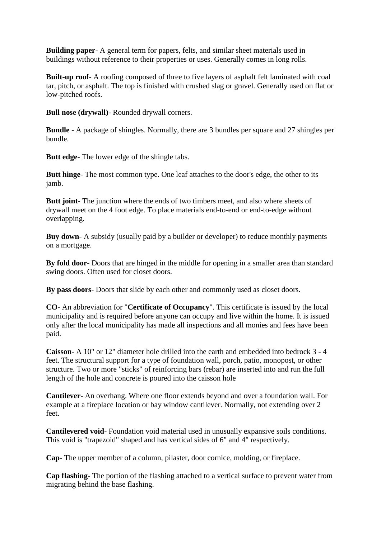**Building paper**- A general term for papers, felts, and similar sheet materials used in buildings without reference to their properties or uses. Generally comes in long rolls.

**Built-up roof**- A roofing composed of three to five layers of asphalt felt laminated with coal tar, pitch, or asphalt. The top is finished with crushed slag or gravel. Generally used on flat or low-pitched roofs.

**Bull nose (drywall)**- Rounded drywall corners.

**Bundle** - A package of shingles. Normally, there are 3 bundles per square and 27 shingles per bundle.

**Butt edge**- The lower edge of the shingle tabs.

**Butt hinge-** The most common type. One leaf attaches to the door's edge, the other to its jamb.

**Butt joint**- The junction where the ends of two timbers meet, and also where sheets of drywall meet on the 4 foot edge. To place materials end-to-end or end-to-edge without overlapping.

**Buy down**- A subsidy (usually paid by a builder or developer) to reduce monthly payments on a mortgage.

**By fold door**- Doors that are hinged in the middle for opening in a smaller area than standard swing doors. Often used for closet doors.

**By pass doors**- Doors that slide by each other and commonly used as closet doors.

**CO**- An abbreviation for "**Certificate of Occupancy**". This certificate is issued by the local municipality and is required before anyone can occupy and live within the home. It is issued only after the local municipality has made all inspections and all monies and fees have been paid.

**Caisson**- A 10" or 12" diameter hole drilled into the earth and embedded into bedrock 3 - 4 feet. The structural support for a type of foundation wall, porch, patio, monopost, or other structure. Two or more "sticks" of reinforcing bars (rebar) are inserted into and run the full length of the hole and concrete is poured into the caisson hole

**Cantilever**- An overhang. Where one floor extends beyond and over a foundation wall. For example at a fireplace location or bay window cantilever. Normally, not extending over 2 feet.

**Cantilevered void**- Foundation void material used in unusually expansive soils conditions. This void is "trapezoid" shaped and has vertical sides of 6" and 4" respectively.

**Cap**- The upper member of a column, pilaster, door cornice, molding, or fireplace.

**Cap flashing**- The portion of the flashing attached to a vertical surface to prevent water from migrating behind the base flashing.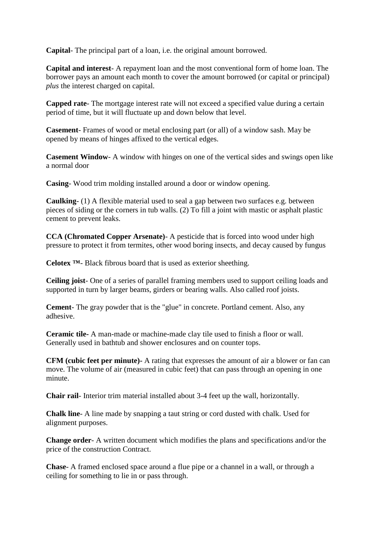**Capital**- The principal part of a loan, i.e. the original amount borrowed.

**Capital and interest**- A repayment loan and the most conventional form of home loan. The borrower pays an amount each month to cover the amount borrowed (or capital or principal) *plus* the interest charged on capital.

**Capped rate**- The mortgage interest rate will not exceed a specified value during a certain period of time, but it will fluctuate up and down below that level.

**Casement**- Frames of wood or metal enclosing part (or all) of a window sash. May be opened by means of hinges affixed to the vertical edges.

**Casement Window**- A window with hinges on one of the vertical sides and swings open like a normal door

**Casing**- Wood trim molding installed around a door or window opening.

**Caulking**- (1) A flexible material used to seal a gap between two surfaces e.g. between pieces of siding or the corners in tub walls. (2) To fill a joint with mastic or asphalt plastic cement to prevent leaks.

**CCA (Chromated Copper Arsenate)**- A pesticide that is forced into wood under high pressure to protect it from termites, other wood boring insects, and decay caused by fungus

**Celotex ™**- Black fibrous board that is used as exterior sheething.

**Ceiling joist**- One of a series of parallel framing members used to support ceiling loads and supported in turn by larger beams, girders or bearing walls. Also called roof joists.

**Cement**- The gray powder that is the "glue" in concrete. Portland cement. Also, any adhesive.

**Ceramic tile-** A man-made or machine-made clay tile used to finish a floor or wall. Generally used in bathtub and shower enclosures and on counter tops.

**CFM (cubic feet per minute)-** A rating that expresses the amount of air a blower or fan can move. The volume of air (measured in cubic feet) that can pass through an opening in one minute.

**Chair rail**- Interior trim material installed about 3-4 feet up the wall, horizontally.

**Chalk line**- A line made by snapping a taut string or cord dusted with chalk. Used for alignment purposes.

**Change order**- A written document which modifies the plans and specifications and/or the price of the construction Contract.

**Chase**- A framed enclosed space around a flue pipe or a channel in a wall, or through a ceiling for something to lie in or pass through.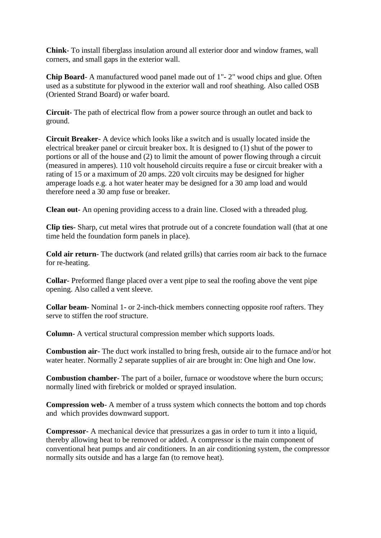**Chink**- To install fiberglass insulation around all exterior door and window frames, wall corners, and small gaps in the exterior wall.

**Chip Board**- A manufactured wood panel made out of 1"- 2" wood chips and glue. Often used as a substitute for plywood in the exterior wall and roof sheathing. Also called OSB (Oriented Strand Board) or wafer board.

**Circuit**- The path of electrical flow from a power source through an outlet and back to ground.

**Circuit Breaker**- A device which looks like a switch and is usually located inside the electrical breaker panel or circuit breaker box. It is designed to (1) shut of the power to portions or all of the house and (2) to limit the amount of power flowing through a circuit (measured in amperes). 110 volt household circuits require a fuse or circuit breaker with a rating of 15 or a maximum of 20 amps. 220 volt circuits may be designed for higher amperage loads e.g. a hot water heater may be designed for a 30 amp load and would therefore need a 30 amp fuse or breaker.

**Clean out**- An opening providing access to a drain line. Closed with a threaded plug.

**Clip ties**- Sharp, cut metal wires that protrude out of a concrete foundation wall (that at one time held the foundation form panels in place).

**Cold air return**- The ductwork (and related grills) that carries room air back to the furnace for re-heating.

**Collar**- Preformed flange placed over a vent pipe to seal the roofing above the vent pipe opening. Also called a vent sleeve.

**Collar beam**- Nominal 1- or 2-inch-thick members connecting opposite roof rafters. They serve to stiffen the roof structure.

**Column**- A vertical structural compression member which supports loads.

**Combustion air**- The duct work installed to bring fresh, outside air to the furnace and/or hot water heater. Normally 2 separate supplies of air are brought in: One high and One low.

**Combustion chamber**- The part of a boiler, furnace or woodstove where the burn occurs; normally lined with firebrick or molded or sprayed insulation.

**Compression web**- A member of a truss system which connects the bottom and top chords and which provides downward support.

**Compressor**- A mechanical device that pressurizes a gas in order to turn it into a liquid, thereby allowing heat to be removed or added. A compressor is the main component of conventional heat pumps and air conditioners. In an air conditioning system, the compressor normally sits outside and has a large fan (to remove heat).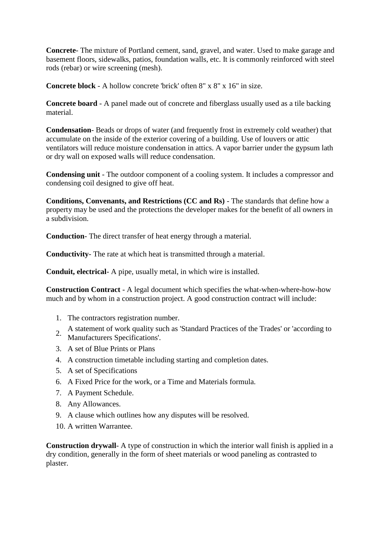**Concrete**- The mixture of Portland cement, sand, gravel, and water. Used to make garage and basement floors, sidewalks, patios, foundation walls, etc. It is commonly reinforced with steel rods (rebar) or wire screening (mesh).

**Concrete block** - A hollow concrete 'brick' often 8" x 8" x 16" in size.

**Concrete board** - A panel made out of concrete and fiberglass usually used as a tile backing material.

**Condensation**- Beads or drops of water (and frequently frost in extremely cold weather) that accumulate on the inside of the exterior covering of a building. Use of louvers or attic ventilators will reduce moisture condensation in attics. A vapor barrier under the gypsum lath or dry wall on exposed walls will reduce condensation.

**Condensing unit** - The outdoor component of a cooling system. It includes a compressor and condensing coil designed to give off heat.

**Conditions, Convenants, and Restrictions (CC and Rs)** - The standards that define how a property may be used and the protections the developer makes for the benefit of all owners in a subdivision.

**Conduction**- The direct transfer of heat energy through a material.

**Conductivity**- The rate at which heat is transmitted through a material.

**Conduit, electrical**- A pipe, usually metal, in which wire is installed.

**Construction Contract** - A legal document which specifies the what-when-where-how-how much and by whom in a construction project. A good construction contract will include:

- 1. The contractors registration number.
- 2. A statement of work quality such as 'Standard Practices of the Trades' or 'according to Manufacturers Specifications'.
- 3. A set of Blue Prints or Plans
- 4. A construction timetable including starting and completion dates.
- 5. A set of Specifications
- 6. A Fixed Price for the work, or a Time and Materials formula.
- 7. A Payment Schedule.
- 8. Any Allowances.
- 9. A clause which outlines how any disputes will be resolved.
- 10. A written Warrantee.

**Construction drywall**- A type of construction in which the interior wall finish is applied in a dry condition, generally in the form of sheet materials or wood paneling as contrasted to plaster.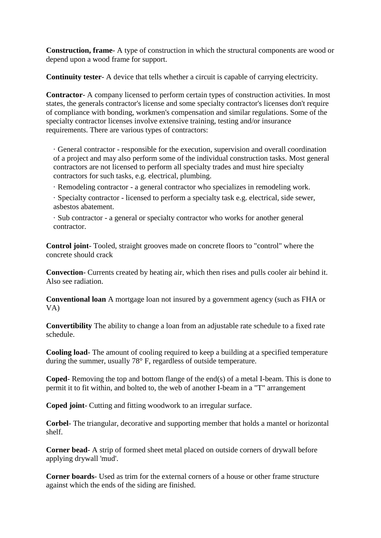**Construction, frame**- A type of construction in which the structural components are wood or depend upon a wood frame for support.

**Continuity tester**- A device that tells whether a circuit is capable of carrying electricity.

**Contractor**- A company licensed to perform certain types of construction activities. In most states, the generals contractor's license and some specialty contractor's licenses don't require of compliance with bonding, workmen's compensation and similar regulations. Some of the specialty contractor licenses involve extensive training, testing and/or insurance requirements. There are various types of contractors:

· General contractor - responsible for the execution, supervision and overall coordination of a project and may also perform some of the individual construction tasks. Most general contractors are not licensed to perform all specialty trades and must hire specialty contractors for such tasks, e.g. electrical, plumbing.

· Remodeling contractor - a general contractor who specializes in remodeling work.

· Specialty contractor - licensed to perform a specialty task e.g. electrical, side sewer, asbestos abatement.

· Sub contractor - a general or specialty contractor who works for another general contractor.

**Control joint**- Tooled, straight grooves made on concrete floors to "control" where the concrete should crack

**Convection**- Currents created by heating air, which then rises and pulls cooler air behind it. Also see radiation.

**Conventional loan** A mortgage loan not insured by a government agency (such as FHA or VA)

**Convertibility** The ability to change a loan from an adjustable rate schedule to a fixed rate schedule.

**Cooling load**- The amount of cooling required to keep a building at a specified temperature during the summer, usually 78° F, regardless of outside temperature.

**Coped**- Removing the top and bottom flange of the end(s) of a metal I-beam. This is done to permit it to fit within, and bolted to, the web of another I-beam in a "T" arrangement

**Coped joint**- Cutting and fitting woodwork to an irregular surface.

**Corbel**- The triangular, decorative and supporting member that holds a mantel or horizontal shelf.

**Corner bead**- A strip of formed sheet metal placed on outside corners of drywall before applying drywall 'mud'.

**Corner boards**- Used as trim for the external corners of a house or other frame structure against which the ends of the siding are finished.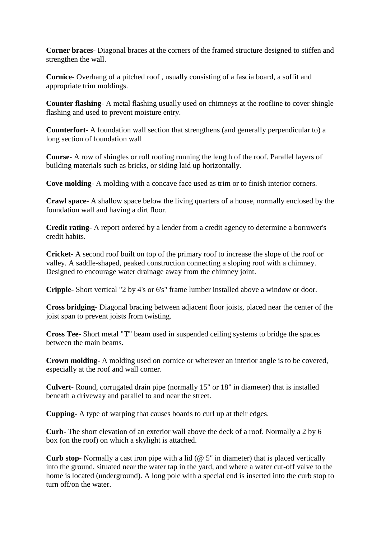**Corner braces**- Diagonal braces at the corners of the framed structure designed to stiffen and strengthen the wall.

**Cornice**- Overhang of a pitched roof , usually consisting of a fascia board, a soffit and appropriate trim moldings.

**Counter flashing**- A metal flashing usually used on chimneys at the roofline to cover shingle flashing and used to prevent moisture entry.

**Counterfort**- A foundation wall section that strengthens (and generally perpendicular to) a long section of foundation wall

**Course**- A row of shingles or roll roofing running the length of the roof. Parallel layers of building materials such as bricks, or siding laid up horizontally.

**Cove molding**- A molding with a concave face used as trim or to finish interior corners.

**Crawl space**- A shallow space below the living quarters of a house, normally enclosed by the foundation wall and having a dirt floor.

**Credit rating**- A report ordered by a lender from a credit agency to determine a borrower's credit habits.

**Cricket**- A second roof built on top of the primary roof to increase the slope of the roof or valley. A saddle-shaped, peaked construction connecting a sloping roof with a chimney. Designed to encourage water drainage away from the chimney joint.

**Cripple**- Short vertical "2 by 4's or 6's" frame lumber installed above a window or door.

**Cross bridging**- Diagonal bracing between adjacent floor joists, placed near the center of the joist span to prevent joists from twisting.

**Cross Tee**- Short metal "**T**" beam used in suspended ceiling systems to bridge the spaces between the main beams.

**Crown molding**- A molding used on cornice or wherever an interior angle is to be covered, especially at the roof and wall corner.

**Culvert**- Round, corrugated drain pipe (normally 15" or 18" in diameter) that is installed beneath a driveway and parallel to and near the street.

**Cupping**- A type of warping that causes boards to curl up at their edges.

**Curb**- The short elevation of an exterior wall above the deck of a roof. Normally a 2 by 6 box (on the roof) on which a skylight is attached.

**Curb stop**- Normally a cast iron pipe with a lid (@ 5" in diameter) that is placed vertically into the ground, situated near the water tap in the yard, and where a water cut-off valve to the home is located (underground). A long pole with a special end is inserted into the curb stop to turn off/on the water.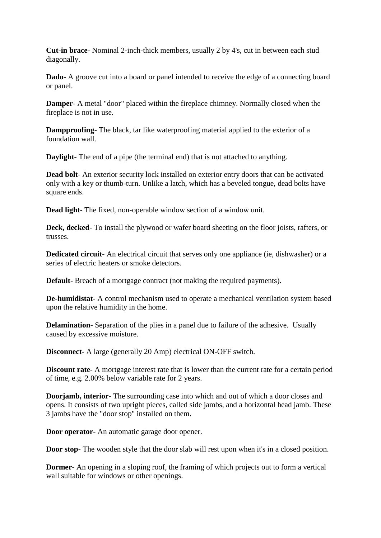**Cut-in brace**- Nominal 2-inch-thick members, usually 2 by 4's, cut in between each stud diagonally.

**Dado**- A groove cut into a board or panel intended to receive the edge of a connecting board or panel.

**Damper**- A metal "door" placed within the fireplace chimney. Normally closed when the fireplace is not in use.

**Dampproofing**- The black, tar like waterproofing material applied to the exterior of a foundation wall.

**Daylight**- The end of a pipe (the terminal end) that is not attached to anything.

**Dead bolt**- An exterior security lock installed on exterior entry doors that can be activated only with a key or thumb-turn. Unlike a latch, which has a beveled tongue, dead bolts have square ends.

**Dead light**- The fixed, non-operable window section of a window unit.

**Deck, decked**- To install the plywood or wafer board sheeting on the floor joists, rafters, or trusses.

**Dedicated circuit**- An electrical circuit that serves only one appliance (ie, dishwasher) or a series of electric heaters or smoke detectors.

**Default**- Breach of a mortgage contract (not making the required payments).

**De-humidistat**- A control mechanism used to operate a mechanical ventilation system based upon the relative humidity in the home.

**Delamination**- Separation of the plies in a panel due to failure of the adhesive. Usually caused by excessive moisture.

**Disconnect**- A large (generally 20 Amp) electrical ON-OFF switch.

**Discount rate-** A mortgage interest rate that is lower than the current rate for a certain period of time, e.g. 2.00% below variable rate for 2 years.

**Doorjamb, interior**- The surrounding case into which and out of which a door closes and opens. It consists of two upright pieces, called side jambs, and a horizontal head jamb. These 3 jambs have the "door stop" installed on them.

**Door operator**- An automatic garage door opener.

**Door stop**- The wooden style that the door slab will rest upon when it's in a closed position.

**Dormer**- An opening in a sloping roof, the framing of which projects out to form a vertical wall suitable for windows or other openings.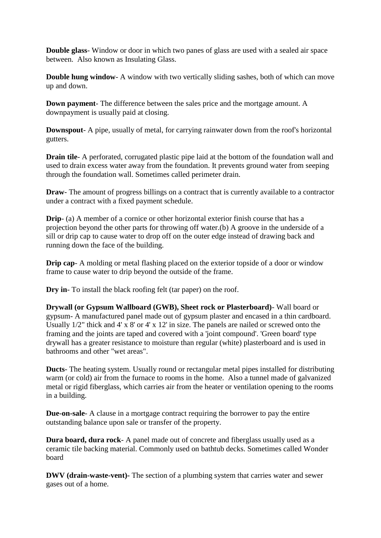**Double glass**- Window or door in which two panes of glass are used with a sealed air space between. Also known as Insulating Glass.

**Double hung window**- A window with two vertically sliding sashes, both of which can move up and down.

**Down payment**- The difference between the sales price and the mortgage amount. A downpayment is usually paid at closing.

**Downspout**- A pipe, usually of metal, for carrying rainwater down from the roof's horizontal gutters.

**Drain tile**- A perforated, corrugated plastic pipe laid at the bottom of the foundation wall and used to drain excess water away from the foundation. It prevents ground water from seeping through the foundation wall. Sometimes called perimeter drain.

**Draw**- The amount of progress billings on a contract that is currently available to a contractor under a contract with a fixed payment schedule.

**Drip**- (a) A member of a cornice or other horizontal exterior finish course that has a projection beyond the other parts for throwing off water.(b) A groove in the underside of a sill or drip cap to cause water to drop off on the outer edge instead of drawing back and running down the face of the building.

**Drip cap-** A molding or metal flashing placed on the exterior topside of a door or window frame to cause water to drip beyond the outside of the frame.

**Dry in-** To install the black roofing felt (tar paper) on the roof.

**Drywall (or Gypsum Wallboard (GWB), Sheet rock or Plasterboard)**- Wall board or gypsum- A manufactured panel made out of gypsum plaster and encased in a thin cardboard. Usually 1/2" thick and 4' x 8' or 4' x 12' in size. The panels are nailed or screwed onto the framing and the joints are taped and covered with a 'joint compound'. 'Green board' type drywall has a greater resistance to moisture than regular (white) plasterboard and is used in bathrooms and other "wet areas".

**Ducts**- The heating system. Usually round or rectangular metal pipes installed for distributing warm (or cold) air from the furnace to rooms in the home. Also a tunnel made of galvanized metal or rigid fiberglass, which carries air from the heater or ventilation opening to the rooms in a building.

**Due-on-sale**- A clause in a mortgage contract requiring the borrower to pay the entire outstanding balance upon sale or transfer of the property.

**Dura board, dura rock**- A panel made out of concrete and fiberglass usually used as a ceramic tile backing material. Commonly used on bathtub decks. Sometimes called Wonder board

**DWV (drain-waste-vent)-** The section of a plumbing system that carries water and sewer gases out of a home.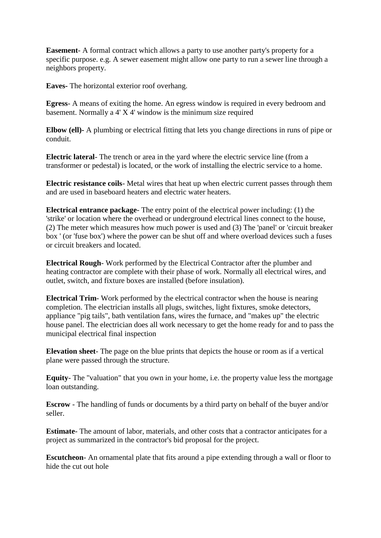**Easement**- A formal contract which allows a party to use another party's property for a specific purpose. e.g. A sewer easement might allow one party to run a sewer line through a neighbors property.

**Eaves-** The horizontal exterior roof overhang.

**Egress**- A means of exiting the home. An egress window is required in every bedroom and basement. Normally a  $4'$  X  $4'$  window is the minimum size required

**Elbow (ell)-** A plumbing or electrical fitting that lets you change directions in runs of pipe or conduit.

**Electric lateral**- The trench or area in the yard where the electric service line (from a transformer or pedestal) is located, or the work of installing the electric service to a home.

**Electric resistance coils**- Metal wires that heat up when electric current passes through them and are used in baseboard heaters and electric water heaters.

**Electrical entrance package**- The entry point of the electrical power including: (1) the 'strike' or location where the overhead or underground electrical lines connect to the house, (2) The meter which measures how much power is used and (3) The 'panel' or 'circuit breaker box ' (or 'fuse box') where the power can be shut off and where overload devices such a fuses or circuit breakers and located.

**Electrical Rough**- Work performed by the Electrical Contractor after the plumber and heating contractor are complete with their phase of work. Normally all electrical wires, and outlet, switch, and fixture boxes are installed (before insulation).

**Electrical Trim**- Work performed by the electrical contractor when the house is nearing completion. The electrician installs all plugs, switches, light fixtures, smoke detectors, appliance "pig tails", bath ventilation fans, wires the furnace, and "makes up" the electric house panel. The electrician does all work necessary to get the home ready for and to pass the municipal electrical final inspection

**Elevation sheet**- The page on the blue prints that depicts the house or room as if a vertical plane were passed through the structure.

**Equity**- The "valuation" that you own in your home, i.e. the property value less the mortgage loan outstanding.

**Escrow** - The handling of funds or documents by a third party on behalf of the buyer and/or seller.

**Estimate**- The amount of labor, materials, and other costs that a contractor anticipates for a project as summarized in the contractor's bid proposal for the project.

**Escutcheon**- An ornamental plate that fits around a pipe extending through a wall or floor to hide the cut out hole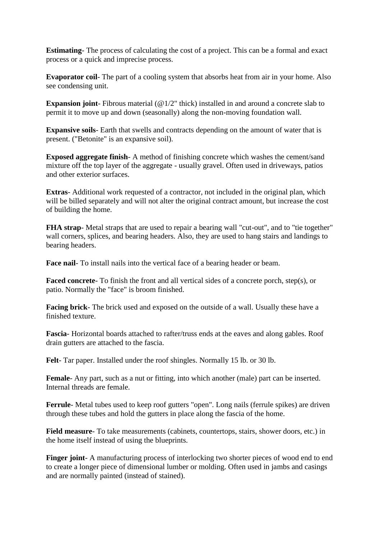**Estimating**- The process of calculating the cost of a project. This can be a formal and exact process or a quick and imprecise process.

**Evaporator coil**- The part of a cooling system that absorbs heat from air in your home. Also see condensing unit.

**Expansion joint**- Fibrous material ( $@1/2"$  thick) installed in and around a concrete slab to permit it to move up and down (seasonally) along the non-moving foundation wall.

**Expansive soils**- Earth that swells and contracts depending on the amount of water that is present. ("Betonite" is an expansive soil).

**Exposed aggregate finish**- A method of finishing concrete which washes the cement/sand mixture off the top layer of the aggregate - usually gravel. Often used in driveways, patios and other exterior surfaces.

**Extras**- Additional work requested of a contractor, not included in the original plan, which will be billed separately and will not alter the original contract amount, but increase the cost of building the home.

**FHA strap**- Metal straps that are used to repair a bearing wall "cut-out", and to "tie together" wall corners, splices, and bearing headers. Also, they are used to hang stairs and landings to bearing headers.

**Face nail**- To install nails into the vertical face of a bearing header or beam.

**Faced concrete**- To finish the front and all vertical sides of a concrete porch, step(s), or patio. Normally the "face" is broom finished.

**Facing brick**- The brick used and exposed on the outside of a wall. Usually these have a finished texture.

**Fascia**- Horizontal boards attached to rafter/truss ends at the eaves and along gables. Roof drain gutters are attached to the fascia.

**Felt**- Tar paper. Installed under the roof shingles. Normally 15 lb. or 30 lb.

**Female**- Any part, such as a nut or fitting, into which another (male) part can be inserted. Internal threads are female.

**Ferrule**- Metal tubes used to keep roof gutters "open". Long nails (ferrule spikes) are driven through these tubes and hold the gutters in place along the fascia of the home.

**Field measure**- To take measurements (cabinets, countertops, stairs, shower doors, etc.) in the home itself instead of using the blueprints.

**Finger joint**- A manufacturing process of interlocking two shorter pieces of wood end to end to create a longer piece of dimensional lumber or molding. Often used in jambs and casings and are normally painted (instead of stained).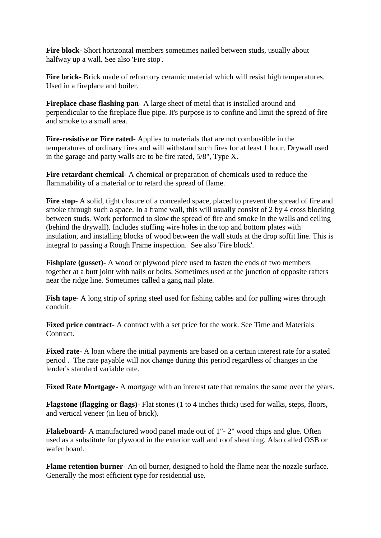**Fire block-** Short horizontal members sometimes nailed between studs, usually about halfway up a wall. See also 'Fire stop'.

**Fire brick-** Brick made of refractory ceramic material which will resist high temperatures. Used in a fireplace and boiler.

**Fireplace chase flashing pan**- A large sheet of metal that is installed around and perpendicular to the fireplace flue pipe. It's purpose is to confine and limit the spread of fire and smoke to a small area.

**Fire-resistive or Fire rated**- Applies to materials that are not combustible in the temperatures of ordinary fires and will withstand such fires for at least 1 hour. Drywall used in the garage and party walls are to be fire rated, 5/8", Type X.

**Fire retardant chemical**- A chemical or preparation of chemicals used to reduce the flammability of a material or to retard the spread of flame.

Fire stop- A solid, tight closure of a concealed space, placed to prevent the spread of fire and smoke through such a space. In a frame wall, this will usually consist of 2 by 4 cross blocking between studs. Work performed to slow the spread of fire and smoke in the walls and ceiling (behind the drywall). Includes stuffing wire holes in the top and bottom plates with insulation, and installing blocks of wood between the wall studs at the drop soffit line. This is integral to passing a Rough Frame inspection. See also 'Fire block'.

**Fishplate (gusset)**- A wood or plywood piece used to fasten the ends of two members together at a butt joint with nails or bolts. Sometimes used at the junction of opposite rafters near the ridge line. Sometimes called a gang nail plate.

**Fish tape-** A long strip of spring steel used for fishing cables and for pulling wires through conduit.

**Fixed price contract**- A contract with a set price for the work. See Time and Materials Contract.

**Fixed rate**- A loan where the initial payments are based on a certain interest rate for a stated period . The rate payable will not change during this period regardless of changes in the lender's standard variable rate.

**Fixed Rate Mortgage**- A mortgage with an interest rate that remains the same over the years.

**Flagstone (flagging or flags)**- Flat stones (1 to 4 inches thick) used for walks, steps, floors, and vertical veneer (in lieu of brick).

**Flakeboard**- A manufactured wood panel made out of 1"- 2" wood chips and glue. Often used as a substitute for plywood in the exterior wall and roof sheathing. Also called OSB or wafer board.

**Flame retention burner**- An oil burner, designed to hold the flame near the nozzle surface. Generally the most efficient type for residential use.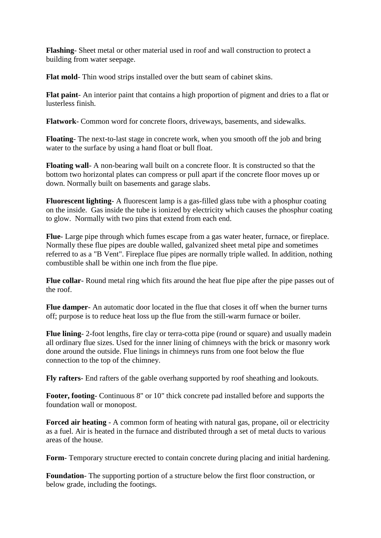**Flashing**- Sheet metal or other material used in roof and wall construction to protect a building from water seepage.

**Flat mold**- Thin wood strips installed over the butt seam of cabinet skins.

**Flat paint**- An interior paint that contains a high proportion of pigment and dries to a flat or lusterless finish.

**Flatwork**- Common word for concrete floors, driveways, basements, and sidewalks.

**Floating**- The next-to-last stage in concrete work, when you smooth off the job and bring water to the surface by using a hand float or bull float.

**Floating wall**- A non-bearing wall built on a concrete floor. It is constructed so that the bottom two horizontal plates can compress or pull apart if the concrete floor moves up or down. Normally built on basements and garage slabs.

**Fluorescent lighting**- A fluorescent lamp is a gas-filled glass tube with a phosphur coating on the inside. Gas inside the tube is ionized by electricity which causes the phosphur coating to glow. Normally with two pins that extend from each end.

**Flue**- Large pipe through which fumes escape from a gas water heater, furnace, or fireplace. Normally these flue pipes are double walled, galvanized sheet metal pipe and sometimes referred to as a "B Vent". Fireplace flue pipes are normally triple walled. In addition, nothing combustible shall be within one inch from the flue pipe.

**Flue collar**- Round metal ring which fits around the heat flue pipe after the pipe passes out of the roof.

**Flue damper**- An automatic door located in the flue that closes it off when the burner turns off; purpose is to reduce heat loss up the flue from the still-warm furnace or boiler.

**Flue lining**- 2-foot lengths, fire clay or terra-cotta pipe (round or square) and usually madein all ordinary flue sizes. Used for the inner lining of chimneys with the brick or masonry work done around the outside. Flue linings in chimneys runs from one foot below the flue connection to the top of the chimney.

**Fly rafters**- End rafters of the gable overhang supported by roof sheathing and lookouts.

**Footer, footing**- Continuous 8" or 10" thick concrete pad installed before and supports the foundation wall or monopost.

**Forced air heating** - A common form of heating with natural gas, propane, oil or electricity as a fuel. Air is heated in the furnace and distributed through a set of metal ducts to various areas of the house.

**Form**- Temporary structure erected to contain concrete during placing and initial hardening.

**Foundation**- The supporting portion of a structure below the first floor construction, or below grade, including the footings.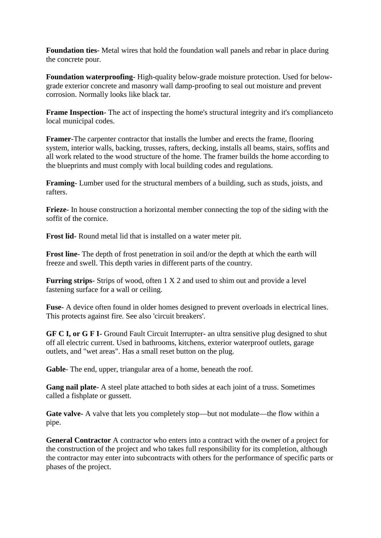**Foundation ties**- Metal wires that hold the foundation wall panels and rebar in place during the concrete pour.

**Foundation waterproofing**- High-quality below-grade moisture protection. Used for below grade exterior concrete and masonry wall damp-proofing to seal out moisture and prevent corrosion. Normally looks like black tar.

**Frame Inspection**- The act of inspecting the home's structural integrity and it's compliance to local municipal codes.

**Framer**-The carpenter contractor that installs the lumber and erects the frame, flooring system, interior walls, backing, trusses, rafters, decking, installs all beams, stairs, soffits and all work related to the wood structure of the home. The framer builds the home according to the blueprints and must comply with local building codes and regulations.

**Framing**- Lumber used for the structural members of a building, such as studs, joists, and rafters.

**Frieze**- In house construction a horizontal member connecting the top of the siding with the soffit of the cornice.

**Frost lid**- Round metal lid that is installed on a water meter pit.

**Frost line**- The depth of frost penetration in soil and/or the depth at which the earth will freeze and swell. This depth varies in different parts of the country.

**Furring strips**- Strips of wood, often 1 X 2 and used to shim out and provide a level fastening surface for a wall or ceiling.

**Fuse**- A device often found in older homes designed to prevent overloads in electrical lines. This protects against fire. See also 'circuit breakers'.

**GF C I, or G F I**- Ground Fault Circuit Interrupter- an ultra sensitive plug designed to shut off all electric current. Used in bathrooms, kitchens, exterior waterproof outlets, garage outlets, and "wet areas". Has a small reset button on the plug.

**Gable**- The end, upper, triangular area of a home, beneath the roof.

**Gang nail plate**- A steel plate attached to both sides at each joint of a truss. Sometimes called a fishplate or gussett.

**Gate valve**- A valve that lets you completely stop—but not modulate—the flow within a pipe.

**General Contractor** A contractor who enters into a contract with the owner of a project for the construction of the project and who takes full responsibility for its completion, although the contractor may enter into subcontracts with others for the performance of specific parts or phases of the project.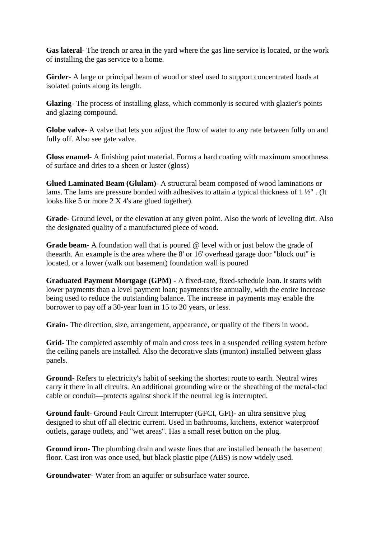**Gas lateral**- The trench or area in the yard where the gas line service is located, or the work of installing the gas service to a home.

**Girder**- A large or principal beam of wood or steel used to support concentrated loads at isolated points along its length.

**Glazing**- The process of installing glass, which commonly is secured with glazier's points and glazing compound.

**Globe valve**- A valve that lets you adjust the flow of water to any rate between fully on and fully off. Also see gate valve.

**Gloss enamel**- A finishing paint material. Forms a hard coating with maximum smoothness of surface and dries to a sheen or luster (gloss)

**Glued Laminated Beam (Glulam)**- A structural beam composed of wood laminations or lams. The lams are pressure bonded with adhesives to attain a typical thickness of 1 ½" . (It looks like 5 or more 2 X 4's are glued together).

**Grade**- Ground level, or the elevation at any given point. Also the work of leveling dirt. Also the designated quality of a manufactured piece of wood.

**Grade beam-** A foundation wall that is poured @ level with or just below the grade of theearth. An example is the area where the 8' or 16' overhead garage door "block out" is located, or a lower (walk out basement) foundation wall is poured

**Graduated Payment Mortgage (GPM)** - A fixed-rate, fixed-schedule loan. It starts with lower payments than a level payment loan; payments rise annually, with the entire increase being used to reduce the outstanding balance. The increase in payments may enable the borrower to pay off a 30-year loan in 15 to 20 years, or less.

**Grain**- The direction, size, arrangement, appearance, or quality of the fibers in wood.

Grid- The completed assembly of main and cross tees in a suspended ceiling system before the ceiling panels are installed. Also the decorative slats (munton) installed between glass panels.

**Ground-** Refers to electricity's habit of seeking the shortest route to earth. Neutral wires carry it there in all circuits. An additional grounding wire or the sheathing of the metal-clad cable or conduit—protects against shock if the neutral leg is interrupted.

**Ground fault**- Ground Fault Circuit Interrupter (GFCI, GFI)- an ultra sensitive plug designed to shut off all electric current. Used in bathrooms, kitchens, exterior waterproof outlets, garage outlets, and "wet areas". Has a small reset button on the plug.

**Ground iron**- The plumbing drain and waste lines that are installed beneath the basement floor. Cast iron was once used, but black plastic pipe (ABS) is now widely used.

**Groundwater**- Water from an aquifer or subsurface water source.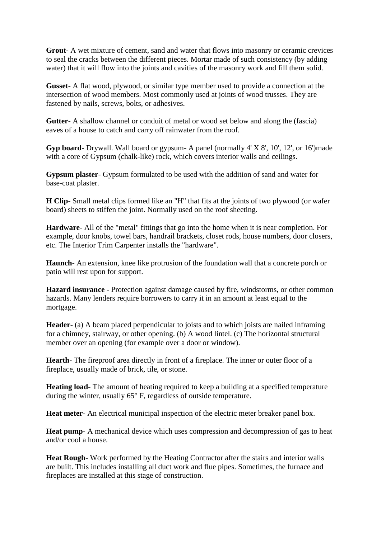**Grout**- A wet mixture of cement, sand and water that flows into masonry or ceramic crevices to seal the cracks between the different pieces. Mortar made of such consistency (by adding water) that it will flow into the joints and cavities of the masonry work and fill them solid.

**Gusset**- A flat wood, plywood, or similar type member used to provide a connection at the intersection of wood members. Most commonly used at joints of wood trusses. They are fastened by nails, screws, bolts, or adhesives.

**Gutter**- A shallow channel or conduit of metal or wood set below and along the (fascia) eaves of a house to catch and carry off rainwater from the roof.

**Gyp board**- Drywall. Wall board or gypsum- A panel (normally 4' X 8', 10', 12', or 16')made with a core of Gypsum (chalk-like) rock, which covers interior walls and ceilings.

**Gypsum plaster**- Gypsum formulated to be used with the addition of sand and water for base-coat plaster.

**H Clip**- Small metal clips formed like an "H" that fits at the joints of two plywood (or wafer board) sheets to stiffen the joint. Normally used on the roof sheeting.

**Hardware**- All of the "metal" fittings that go into the home when it is near completion. For example, door knobs, towel bars, handrail brackets, closet rods, house numbers, door closers, etc. The Interior Trim Carpenter installs the "hardware".

**Haunch**- An extension, knee like protrusion of the foundation wall that a concrete porch or patio will rest upon for support.

**Hazard insurance** - Protection against damage caused by fire, windstorms, or other common hazards. Many lenders require borrowers to carry it in an amount at least equal to the mortgage.

**Header**- (a) A beam placed perpendicular to joists and to which joists are nailed inframing for a chimney, stairway, or other opening. (b) A wood lintel. (c) The horizontal structural member over an opening (for example over a door or window).

**Hearth**- The fireproof area directly in front of a fireplace. The inner or outer floor of a fireplace, usually made of brick, tile, or stone.

**Heating load**- The amount of heating required to keep a building at a specified temperature during the winter, usually 65° F, regardless of outside temperature.

**Heat meter**- An electrical municipal inspection of the electric meter breaker panel box.

**Heat pump**- A mechanical device which uses compression and decompression of gas to heat and/or cool a house.

**Heat Rough**- Work performed by the Heating Contractor after the stairs and interior walls are built. This includes installing all duct work and flue pipes. Sometimes, the furnace and fireplaces are installed at this stage of construction.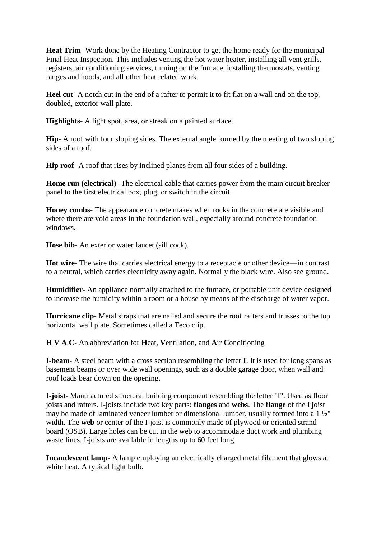**Heat Trim**- Work done by the Heating Contractor to get the home ready for the municipal Final Heat Inspection. This includes venting the hot water heater, installing all vent grills. registers, air conditioning services, turning on the furnace, installing thermostats, venting ranges and hoods, and all other heat related work.

**Heel cut**- A notch cut in the end of a rafter to permit it to fit flat on a wall and on the top, doubled, exterior wall plate.

**Highlights**- A light spot, area, or streak on a painted surface.

**Hip**- A roof with four sloping sides. The external angle formed by the meeting of two sloping sides of a roof.

**Hip roof**- A roof that rises by inclined planes from all four sides of a building.

**Home run (electrical)**- The electrical cable that carries power from the main circuit breaker panel to the first electrical box, plug, or switch in the circuit.

**Honey combs**- The appearance concrete makes when rocks in the concrete are visible and where there are void areas in the foundation wall, especially around concrete foundation windows.

**Hose bib**- An exterior water faucet (sill cock).

**Hot wire**- The wire that carries electrical energy to a receptacle or other device—in contrast to a neutral, which carries electricity away again. Normally the black wire. Also see ground.

**Humidifier**- An appliance normally attached to the furnace, or portable unit device designed to increase the humidity within a room or a house by means of the discharge of water vapor.

**Hurricane clip**- Metal straps that are nailed and secure the roof rafters and trusses to the top horizontal wall plate. Sometimes called a Teco clip.

**H V A C**- An abbreviation for **H**eat, **V**entilation, and **A**ir **C**onditioning

**I-beam**- A steel beam with a cross section resembling the letter **I**. It is used for long spans as basement beams or over wide wall openings, such as a double garage door, when wall and roof loads bear down on the opening.

**I-joist**- Manufactured structural building component resembling the letter "I". Used as floor joists and rafters. I-joists include two key parts: **flanges** and **webs**. The **flange** of the I joist may be made of laminated veneer lumber or dimensional lumber, usually formed into a 1 ½" width. The **web** or center of the I-joist is commonly made of plywood or oriented strand board (OSB). Large holes can be cut in the web to accommodate duct work and plumbing waste lines. I-joists are available in lengths up to 60 feet long

**Incandescent lamp**- A lamp employing an electrically charged metal filament that glows at white heat. A typical light bulb.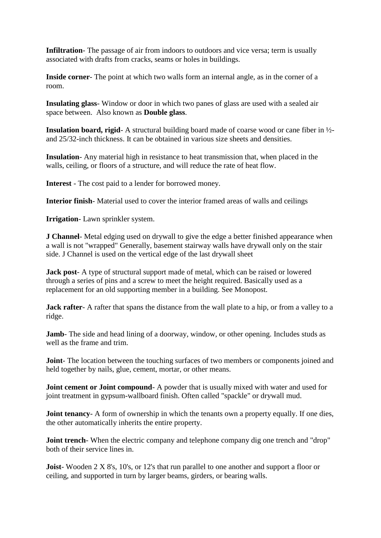**Infiltration**- The passage of air from indoors to outdoors and vice versa; term is usually associated with drafts from cracks, seams or holes in buildings.

**Inside corner**- The point at which two walls form an internal angle, as in the corner of a room.

**Insulating glass**- Window or door in which two panes of glass are used with a sealed air space between. Also known as **Double glass**.

**Insulation board, rigid-** A structural building board made of coarse wood or cane fiber in <sup>1</sup>/2and 25/32-inch thickness. It can be obtained in various size sheets and densities.

**Insulation**- Any material high in resistance to heat transmission that, when placed in the walls, ceiling, or floors of a structure, and will reduce the rate of heat flow.

**Interest** - The cost paid to a lender for borrowed money.

**Interior finish**- Material used to cover the interior framed areas of walls and ceilings

**Irrigation**- Lawn sprinkler system.

**J Channel**- Metal edging used on drywall to give the edge a better finished appearance when a wall is not "wrapped" Generally, basement stairway walls have drywall only on the stair side. J Channel is used on the vertical edge of the last drywall sheet

**Jack post**- A type of structural support made of metal, which can be raised or lowered through a series of pins and a screw to meet the height required. Basically used as a replacement for an old supporting member in a building. See Monopost.

**Jack rafter**- A rafter that spans the distance from the wall plate to a hip, or from a valley to a ridge.

**Jamb**- The side and head lining of a doorway, window, or other opening. Includes studs as well as the frame and trim.

**Joint**- The location between the touching surfaces of two members or components joined and held together by nails, glue, cement, mortar, or other means.

**Joint cement or Joint compound**- A powder that is usually mixed with water and used for joint treatment in gypsum-wallboard finish. Often called "spackle" or drywall mud.

**Joint tenancy**- A form of ownership in which the tenants own a property equally. If one dies, the other automatically inherits the entire property.

**Joint trench**- When the electric company and telephone company dig one trench and "drop" both of their service lines in.

**Joist**- Wooden 2 X 8's, 10's, or 12's that run parallel to one another and support a floor or ceiling, and supported in turn by larger beams, girders, or bearing walls.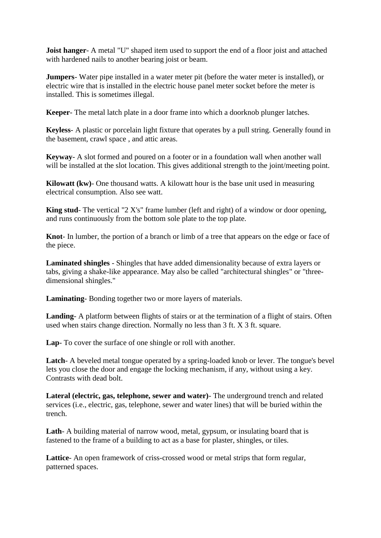**Joist hanger-** A metal "U" shaped item used to support the end of a floor joist and attached with hardened nails to another bearing joist or beam.

**Jumpers**- Water pipe installed in a water meter pit (before the water meter is installed), or electric wire that is installed in the electric house panel meter socket before the meter is installed. This is sometimes illegal.

**Keeper**- The metal latch plate in a door frame into which a doorknob plunger latches.

**Keyless**- A plastic or porcelain light fixture that operates by a pull string. Generally found in the basement, crawl space , and attic areas.

**Keyway**- A slot formed and poured on a footer or in a foundation wall when another wall will be installed at the slot location. This gives additional strength to the joint/meeting point.

**Kilowatt (kw)**- One thousand watts. A kilowatt hour is the base unit used in measuring electrical consumption. Also see watt.

**King stud**- The vertical "2 X's" frame lumber (left and right) of a window or door opening, and runs continuously from the bottom sole plate to the top plate.

**Knot**- In lumber, the portion of a branch or limb of a tree that appears on the edge or face of the piece.

**Laminated shingles** - Shingles that have added dimensionality because of extra layers or tabs, giving a shake-like appearance. May also be called "architectural shingles" or "three dimensional shingles."

**Laminating**- Bonding together two or more layers of materials.

Landing- A platform between flights of stairs or at the termination of a flight of stairs. Often used when stairs change direction. Normally no less than 3 ft. X 3 ft. square.

**Lap**- To cover the surface of one shingle or roll with another.

Latch- A beveled metal tongue operated by a spring-loaded knob or lever. The tongue's bevel lets you close the door and engage the locking mechanism, if any, without using a key. Contrasts with dead bolt.

**Lateral (electric, gas, telephone, sewer and water)**- The underground trench and related services (i.e., electric, gas, telephone, sewer and water lines) that will be buried within the trench.

**Lath**- A building material of narrow wood, metal, gypsum, or insulating board that is fastened to the frame of a building to act as a base for plaster, shingles, or tiles.

**Lattice**- An open framework of criss-crossed wood or metal strips that form regular, patterned spaces.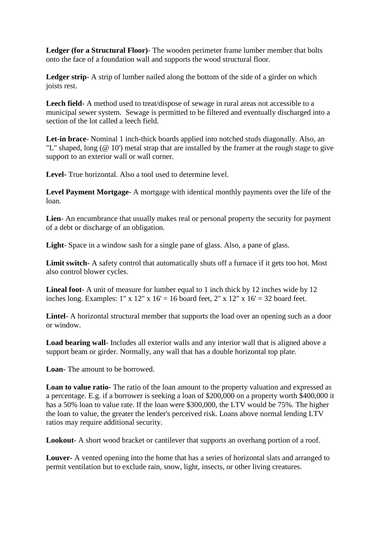**Ledger (for a Structural Floor)**- The wooden perimeter frame lumber member that bolts onto the face of a foundation wall and supports the wood structural floor.

**Ledger strip**- A strip of lumber nailed along the bottom of the side of a girder on which joists rest.

**Leech field**- A method used to treat/dispose of sewage in rural areas not accessible to a municipal sewer system. Sewage is permitted to be filtered and eventually discharged into a section of the lot called a leech field.

**Let-in brace**- Nominal 1 inch-thick boards applied into notched studs diagonally. Also, an "L" shaped, long (@ 10') metal strap that are installed by the framer at the rough stage to give support to an exterior wall or wall corner.

**Level-** True horizontal. Also a tool used to determine level.

**Level Payment Mortgage**- A mortgage with identical monthly payments over the life of the loan.

**Lien**- An encumbrance that usually makes real or personal property the security for payment of a debt or discharge of an obligation.

**Light**- Space in a window sash for a single pane of glass. Also, a pane of glass.

**Limit switch**- A safety control that automatically shuts off a furnace if it gets too hot. Most also control blower cycles.

**Lineal foot**- A unit of measure for lumber equal to 1 inch thick by 12 inches wide by 12 inches long. Examples:  $1'' \times 12'' \times 16' = 16$  board feet,  $2'' \times 12'' \times 16' = 32$  board feet.

**Lintel**- A horizontal structural member that supports the load over an opening such as a door or window.

**Load bearing wall**- Includes all exterior walls and any interior wall that is aligned above a support beam or girder. Normally, any wall that has a double horizontal top plate.

**Loan**- The amount to be borrowed.

**Loan to value ratio**- The ratio of the loan amount to the property valuation and expressed as a percentage. E.g. if a borrower is seeking a loan of \$200,000 on a property worth \$400,000 it has a 50% loan to value rate. If the loan were \$300,000, the LTV would be 75%. The higher the loan to value, the greater the lender's perceived risk. Loans above normal lending LTV ratios may require additional security.

**Lookout**- A short wood bracket or cantilever that supports an overhang portion of a roof.

**Louver**- A vented opening into the home that has a series of horizontal slats and arranged to permit ventilation but to exclude rain, snow, light, insects, or other living creatures.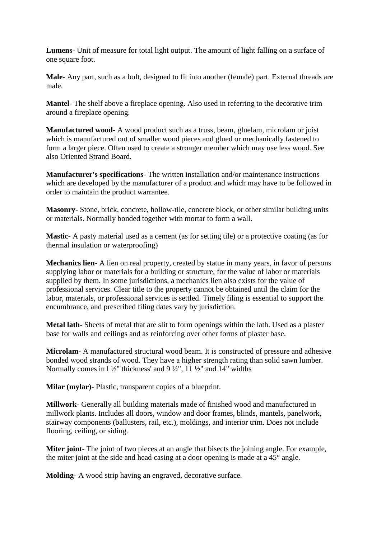**Lumens**- Unit of measure for total light output. The amount of light falling on a surface of one square foot.

**Male**- Any part, such as a bolt, designed to fit into another (female) part. External threads are male.

**Mantel**- The shelf above a fireplace opening. Also used in referring to the decorative trim around a fireplace opening.

**Manufactured wood-** A wood product such as a truss, beam, gluelam, microlam or joist which is manufactured out of smaller wood pieces and glued or mechanically fastened to form a larger piece. Often used to create a stronger member which may use less wood. See also Oriented Strand Board.

**Manufacturer's specifications**- The written installation and/or maintenance instructions which are developed by the manufacturer of a product and which may have to be followed in order to maintain the product warrantee.

**Masonry**- Stone, brick, concrete, hollow-tile, concrete block, or other similar building units or materials. Normally bonded together with mortar to form a wall.

**Mastic**- A pasty material used as a cement (as for setting tile) or a protective coating (as for thermal insulation or waterproofing)

**Mechanics lien**- A lien on real property, created by statue in many years, in favor of persons supplying labor or materials for a building or structure, for the value of labor or materials supplied by them. In some jurisdictions, a mechanics lien also exists for the value of professional services. Clear title to the property cannot be obtained until the claim for the labor, materials, or professional services is settled. Timely filing is essential to support the encumbrance, and prescribed filing dates vary by jurisdiction.

**Metal lath**- Sheets of metal that are slit to form openings within the lath. Used as a plaster base for walls and ceilings and as reinforcing over other forms of plaster base.

**Microlam**- A manufactured structural wood beam. It is constructed of pressure and adhesive bonded wood strands of wood. They have a higher strength rating than solid sawn lumber. Normally comes in l ½" thickness' and 9 ½", 11 ½" and 14" widths

**Milar (mylar)**- Plastic, transparent copies of a blueprint.

**Millwork**- Generally all building materials made of finished wood and manufactured in millwork plants. Includes all doors, window and door frames, blinds, mantels, panelwork, stairway components (ballusters, rail, etc.), moldings, and interior trim. Does not include flooring, ceiling, or siding.

**Miter joint**- The joint of two pieces at an angle that bisects the joining angle. For example, the miter joint at the side and head casing at a door opening is made at a 45° angle.

**Molding**- A wood strip having an engraved, decorative surface.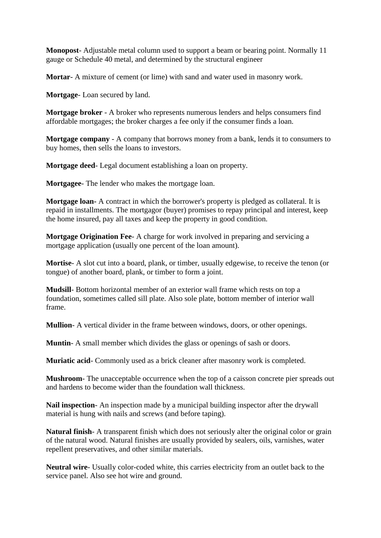**Monopost**- Adjustable metal column used to support a beam or bearing point. Normally 11 gauge or Schedule 40 metal, and determined by the structural engineer

**Mortar**- A mixture of cement (or lime) with sand and water used in masonry work.

**Mortgage**- Loan secured by land.

**Mortgage broker** - A broker who represents numerous lenders and helps consumers find affordable mortgages; the broker charges a fee only if the consumer finds a loan.

**Mortgage company** - A company that borrows money from a bank, lends it to consumers to buy homes, then sells the loans to investors.

**Mortgage deed**- Legal document establishing a loan on property.

**Mortgagee**- The lender who makes the mortgage loan.

**Mortgage loan-** A contract in which the borrower's property is pledged as collateral. It is repaid in installments. The mortgagor (buyer) promises to repay principal and interest, keep the home insured, pay all taxes and keep the property in good condition.

**Mortgage Origination Fee**- A charge for work involved in preparing and servicing a mortgage application (usually one percent of the loan amount).

**Mortise**- A slot cut into a board, plank, or timber, usually edgewise, to receive the tenon (or tongue) of another board, plank, or timber to form a joint.

**Mudsill**- Bottom horizontal member of an exterior wall frame which rests on top a foundation, sometimes called sill plate. Also sole plate, bottom member of interior wall frame.

**Mullion**- A vertical divider in the frame between windows, doors, or other openings.

**Muntin**- A small member which divides the glass or openings of sash or doors.

**Muriatic acid**- Commonly used as a brick cleaner after masonry work is completed.

**Mushroom**- The unacceptable occurrence when the top of a caisson concrete pier spreads out and hardens to become wider than the foundation wall thickness.

**Nail inspection**- An inspection made by a municipal building inspector after the drywall material is hung with nails and screws (and before taping).

**Natural finish**- A transparent finish which does not seriously alter the original color or grain of the natural wood. Natural finishes are usually provided by sealers, oils, varnishes, water repellent preservatives, and other similar materials.

**Neutral wire**- Usually color-coded white, this carries electricity from an outlet back to the service panel. Also see hot wire and ground.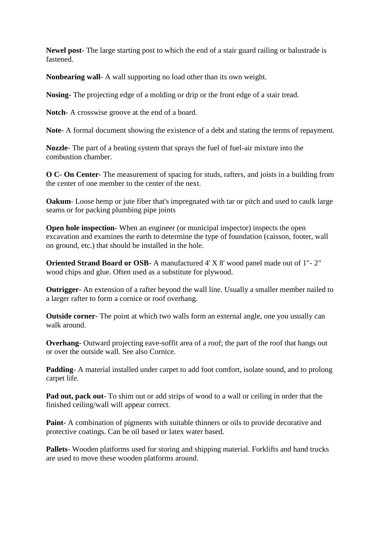**Newel post**- The large starting post to which the end of a stair guard railing or balustrade is fastened.

**Nonbearing wall**- A wall supporting no load other than its own weight.

**Nosing**- The projecting edge of a molding or drip or the front edge of a stair tread.

**Notch**- A crosswise groove at the end of a board.

**Note**- A formal document showing the existence of a debt and stating the terms of repayment.

**Nozzle**- The part of a heating system that sprays the fuel of fuel-air mixture into the combustion chamber.

**O C- On Center**- The measurement of spacing for studs, rafters, and joists in a building from the center of one member to the center of the next.

**Oakum**- Loose hemp or jute fiber that's impregnated with tar or pitch and used to caulk large seams or for packing plumbing pipe joints

**Open hole inspection**- When an engineer (or municipal inspector) inspects the open excavation and examines the earth to determine the type of foundation (caisson, footer, wall on ground, etc.) that should be installed in the hole.

**Oriented Strand Board or OSB**- A manufactured 4' X 8' wood panel made out of 1"- 2" wood chips and glue. Often used as a substitute for plywood.

**Outrigger**- An extension of a rafter beyond the wall line. Usually a smaller member nailed to a larger rafter to form a cornice or roof overhang.

**Outside corner**- The point at which two walls form an external angle, one you usually can walk around.

**Overhang**- Outward projecting eave-soffit area of a roof; the part of the roof that hangs out or over the outside wall. See also Cornice.

**Padding**- A material installed under carpet to add foot comfort, isolate sound, and to prolong carpet life.

**Pad out, pack out**- To shim out or add strips of wood to a wall or ceiling in order that the finished ceiling/wall will appear correct.

**Paint**- A combination of pigments with suitable thinners or oils to provide decorative and protective coatings. Can be oil based or latex water based.

**Pallets**- Wooden platforms used for storing and shipping material. Forklifts and hand trucks are used to move these wooden platforms around.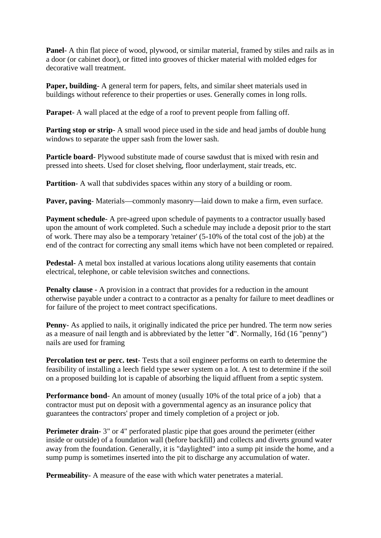**Panel**- A thin flat piece of wood, plywood, or similar material, framed by stiles and rails as in a door (or cabinet door), or fitted into grooves of thicker material with molded edges for decorative wall treatment.

**Paper, building**- A general term for papers, felts, and similar sheet materials used in buildings without reference to their properties or uses. Generally comes in long rolls.

**Parapet**- A wall placed at the edge of a roof to prevent people from falling off.

**Parting stop or strip-** A small wood piece used in the side and head jambs of double hung windows to separate the upper sash from the lower sash.

**Particle board**- Plywood substitute made of course sawdust that is mixed with resin and pressed into sheets. Used for closet shelving, floor underlayment, stair treads, etc.

**Partition**- A wall that subdivides spaces within any story of a building or room.

**Paver, paving-** Materials—commonly masonry—laid down to make a firm, even surface.

**Payment schedule**- A pre-agreed upon schedule of payments to a contractor usually based upon the amount of work completed. Such a schedule may include a deposit prior to the start of work. There may also be a temporary 'retainer' (5-10% of the total cost of the job) at the end of the contract for correcting any small items which have not been completed or repaired.

**Pedestal**- A metal box installed at various locations along utility easements that contain electrical, telephone, or cable television switches and connections.

**Penalty clause** - A provision in a contract that provides for a reduction in the amount otherwise payable under a contract to a contractor as a penalty for failure to meet deadlines or for failure of the project to meet contract specifications.

**Penny**- As applied to nails, it originally indicated the price per hundred. The term now series as a measure of nail length and is abbreviated by the letter "**d**". Normally, 16d (16 "penny") nails are used for framing

**Percolation test or perc. test**- Tests that a soil engineer performs on earth to determine the feasibility of installing a leech field type sewer system on a lot. A test to determine if the soil on a proposed building lot is capable of absorbing the liquid affluent from a septic system.

**Performance bond**- An amount of money (usually 10% of the total price of a job) that a contractor must put on deposit with a governmental agency as an insurance policy that guarantees the contractors' proper and timely completion of a project or job.

**Perimeter drain**-3" or 4" perforated plastic pipe that goes around the perimeter (either inside or outside) of a foundation wall (before backfill) and collects and diverts ground water away from the foundation. Generally, it is "daylighted" into a sump pit inside the home, and a sump pump is sometimes inserted into the pit to discharge any accumulation of water.

**Permeability**- A measure of the ease with which water penetrates a material.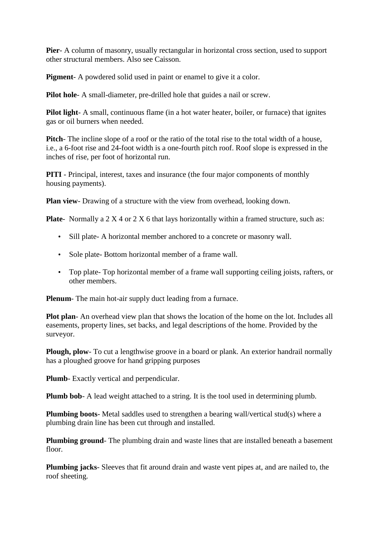**Pier**- A column of masonry, usually rectangular in horizontal cross section, used to support other structural members. Also see Caisson.

**Pigment**- A powdered solid used in paint or enamel to give it a color.

**Pilot hole**- A small-diameter, pre-drilled hole that guides a nail or screw.

**Pilot light**- A small, continuous flame (in a hot water heater, boiler, or furnace) that ignites gas or oil burners when needed.

Pitch- The incline slope of a roof or the ratio of the total rise to the total width of a house, i.e., a 6-foot rise and 24-foot width is a one-fourth pitch roof. Roof slope is expressed in the inches of rise, per foot of horizontal run.

**PITI** - Principal, interest, taxes and insurance (the four major components of monthly housing payments).

**Plan view**- Drawing of a structure with the view from overhead, looking down.

**Plate-** Normally a 2 X 4 or 2 X 6 that lays horizontally within a framed structure, such as:

- Sill plate- A horizontal member anchored to a concrete or masonry wall.
- Sole plate- Bottom horizontal member of a frame wall.
- Top plate- Top horizontal member of a frame wall supporting ceiling joists, rafters, or other members.

**Plenum**- The main hot-air supply duct leading from a furnace.

**Plot plan**- An overhead view plan that shows the location of the home on the lot. Includes all easements, property lines, set backs, and legal descriptions of the home. Provided by the surveyor.

**Plough, plow-** To cut a lengthwise groove in a board or plank. An exterior handrail normally has a ploughed groove for hand gripping purposes

**Plumb**- Exactly vertical and perpendicular.

**Plumb bob**- A lead weight attached to a string. It is the tool used in determining plumb.

**Plumbing boots**- Metal saddles used to strengthen a bearing wall/vertical stud(s) where a plumbing drain line has been cut through and installed.

**Plumbing ground**- The plumbing drain and waste lines that are installed beneath a basement floor.

**Plumbing jacks**- Sleeves that fit around drain and waste vent pipes at, and are nailed to, the roof sheeting.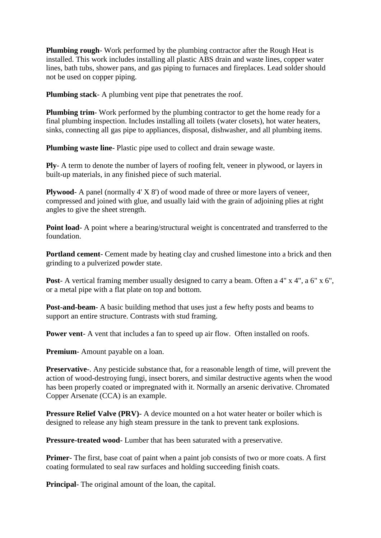**Plumbing rough**- Work performed by the plumbing contractor after the Rough Heat is installed. This work includes installing all plastic ABS drain and waste lines, copper water lines, bath tubs, shower pans, and gas piping to furnaces and fireplaces. Lead solder should not be used on copper piping.

**Plumbing stack**- A plumbing vent pipe that penetrates the roof.

**Plumbing trim**- Work performed by the plumbing contractor to get the home ready for a final plumbing inspection. Includes installing all toilets (water closets), hot water heaters, sinks, connecting all gas pipe to appliances, disposal, dishwasher, and all plumbing items.

**Plumbing waste line**- Plastic pipe used to collect and drain sewage waste.

**Ply**- A term to denote the number of layers of roofing felt, veneer in plywood, or layers in built-up materials, in any finished piece of such material.

**Plywood**- A panel (normally 4' X 8') of wood made of three or more layers of veneer, compressed and joined with glue, and usually laid with the grain of adjoining plies at right angles to give the sheet strength.

**Point load**- A point where a bearing/structural weight is concentrated and transferred to the foundation.

**Portland cement**- Cement made by heating clay and crushed limestone into a brick and then grinding to a pulverized powder state.

Post- A vertical framing member usually designed to carry a beam. Often a 4" x 4", a 6" x 6", or a metal pipe with a flat plate on top and bottom.

**Post-and-beam**- A basic building method that uses just a few hefty posts and beams to support an entire structure. Contrasts with stud framing.

**Power vent**- A vent that includes a fan to speed up air flow. Often installed on roofs.

**Premium**- Amount payable on a loan.

**Preservative**-. Any pesticide substance that, for a reasonable length of time, will prevent the action of wood-destroying fungi, insect borers, and similar destructive agents when the wood has been properly coated or impregnated with it. Normally an arsenic derivative. Chromated Copper Arsenate (CCA) is an example.

**Pressure Relief Valve (PRV)**- A device mounted on a hot water heater or boiler which is designed to release any high steam pressure in the tank to prevent tank explosions.

**Pressure-treated wood**- Lumber that has been saturated with a preservative.

**Primer**- The first, base coat of paint when a paint job consists of two or more coats. A first coating formulated to seal raw surfaces and holding succeeding finish coats.

**Principal**- The original amount of the loan, the capital.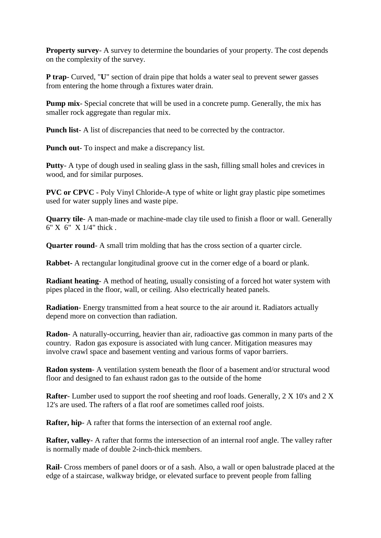**Property survey-** A survey to determine the boundaries of your property. The cost depends on the complexity of the survey.

**P trap**- Curved, "**U**" section of drain pipe that holds a water seal to prevent sewer gasses from entering the home through a fixtures water drain.

**Pump mix-** Special concrete that will be used in a concrete pump. Generally, the mix has smaller rock aggregate than regular mix.

**Punch list-** A list of discrepancies that need to be corrected by the contractor.

**Punch out**- To inspect and make a discrepancy list.

**Putty**- A type of dough used in sealing glass in the sash, filling small holes and crevices in wood, and for similar purposes.

**PVC or CPVC** - Poly Vinyl Chloride-A type of white or light gray plastic pipe sometimes used for water supply lines and waste pipe.

**Quarry tile**- A man-made or machine-made clay tile used to finish a floor or wall. Generally 6" X 6" X 1/4" thick .

**Quarter round**- A small trim molding that has the cross section of a quarter circle.

**Rabbet-** A rectangular longitudinal groove cut in the corner edge of a board or plank.

**Radiant heating**- A method of heating, usually consisting of a forced hot water system with pipes placed in the floor, wall, or ceiling. Also electrically heated panels.

**Radiation**- Energy transmitted from a heat source to the air around it. Radiators actually depend more on convection than radiation.

**Radon**- A naturally-occurring, heavier than air, radioactive gas common in many parts of the country. Radon gas exposure is associated with lung cancer. Mitigation measures may involve crawl space and basement venting and various forms of vapor barriers.

**Radon system**- A ventilation system beneath the floor of a basement and/or structural wood floor and designed to fan exhaust radon gas to the outside of the home

**Rafter**- Lumber used to support the roof sheeting and roof loads. Generally, 2 X 10's and 2 X 12's are used. The rafters of a flat roof are sometimes called roof joists.

**Rafter, hip**- A rafter that forms the intersection of an external roof angle.

**Rafter, valley**- A rafter that forms the intersection of an internal roof angle. The valley rafter is normally made of double 2-inch-thick members.

**Rail**- Cross members of panel doors or of a sash. Also, a wall or open balustrade placed at the edge of a staircase, walkway bridge, or elevated surface to prevent people from falling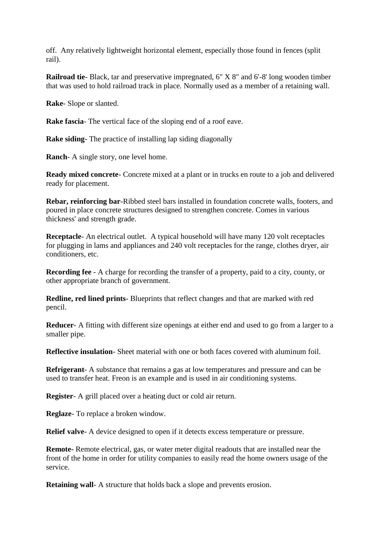off. Any relatively lightweight horizontal element, especially those found in fences (split rail).

**Railroad tie**- Black, tar and preservative impregnated, 6" X 8" and 6'-8' long wooden timber that was used to hold railroad track in place. Normally used as a member of a retaining wall.

**Rake**- Slope or slanted.

**Rake fascia**- The vertical face of the sloping end of a roof eave.

**Rake siding**- The practice of installing lap siding diagonally

**Ranch**- A single story, one level home.

**Ready mixed concrete**- Concrete mixed at a plant or in trucks en route to a job and delivered ready for placement.

**Rebar, reinforcing bar**-Ribbed steel bars installed in foundation concrete walls, footers, and poured in place concrete structures designed to strengthen concrete. Comes in various thickness' and strength grade.

**Receptacle-** An electrical outlet. A typical household will have many 120 volt receptacles for plugging in lams and appliances and 240 volt receptacles for the range, clothes dryer, air conditioners, etc.

**Recording fee** - A charge for recording the transfer of a property, paid to a city, county, or other appropriate branch of government.

**Redline, red lined prints**- Blueprints that reflect changes and that are marked with red pencil.

**Reducer**- A fitting with different size openings at either end and used to go from a larger to a smaller pipe.

**Reflective insulation**- Sheet material with one or both faces covered with aluminum foil.

**Refrigerant**- A substance that remains a gas at low temperatures and pressure and can be used to transfer heat. Freon is an example and is used in air conditioning systems.

**Register**- A grill placed over a heating duct or cold air return.

**Reglaze**- To replace a broken window.

**Relief valve**- A device designed to open if it detects excess temperature or pressure.

**Remote-** Remote electrical, gas, or water meter digital readouts that are installed near the front of the home in order for utility companies to easily read the home owners usage of the service.

**Retaining wall**- A structure that holds back a slope and prevents erosion.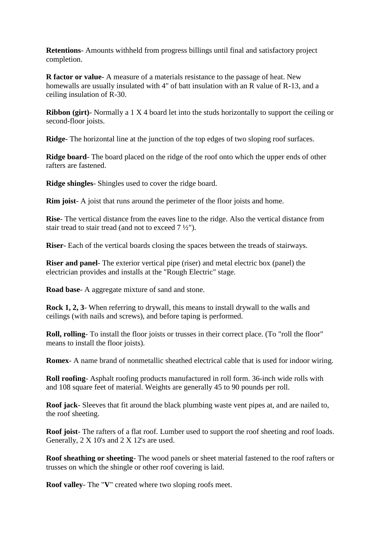**Retentions**- Amounts withheld from progress billings until final and satisfactory project completion.

**R factor or value**- A measure of a materials resistance to the passage of heat. New homewalls are usually insulated with 4" of batt insulation with an R value of R-13, and a ceiling insulation of R-30.

**Ribbon (girt)**- Normally a 1 X 4 board let into the studs horizontally to support the ceiling or second-floor joists.

**Ridge**- The horizontal line at the junction of the top edges of two sloping roof surfaces.

**Ridge board**- The board placed on the ridge of the roof onto which the upper ends of other rafters are fastened.

**Ridge shingles**- Shingles used to cover the ridge board.

**Rim joist**- A joist that runs around the perimeter of the floor joists and home.

**Rise**- The vertical distance from the eaves line to the ridge. Also the vertical distance from stair tread to stair tread (and not to exceed 7 ½").

**Riser**- Each of the vertical boards closing the spaces between the treads of stairways.

**Riser and panel-** The exterior vertical pipe (riser) and metal electric box (panel) the electrician provides and installs at the "Rough Electric" stage.

**Road base**- A aggregate mixture of sand and stone.

**Rock 1, 2, 3**- When referring to drywall, this means to install drywall to the walls and ceilings (with nails and screws), and before taping is performed.

**Roll, rolling**- To install the floor joists or trusses in their correct place. (To "roll the floor" means to install the floor joists).

**Romex**- A name brand of nonmetallic sheathed electrical cable that is used for indoor wiring.

**Roll roofing**- Asphalt roofing products manufactured in roll form. 36-inch wide rolls with and 108 square feet of material. Weights are generally 45 to 90 pounds per roll.

**Roof jack**- Sleeves that fit around the black plumbing waste vent pipes at, and are nailed to, the roof sheeting.

**Roof joist**- The rafters of a flat roof. Lumber used to support the roof sheeting and roof loads. Generally, 2 X 10's and 2 X 12's are used.

**Roof sheathing or sheeting**- The wood panels or sheet material fastened to the roof rafters or trusses on which the shingle or other roof covering is laid.

**Roof valley**- The "**V**" created where two sloping roofs meet.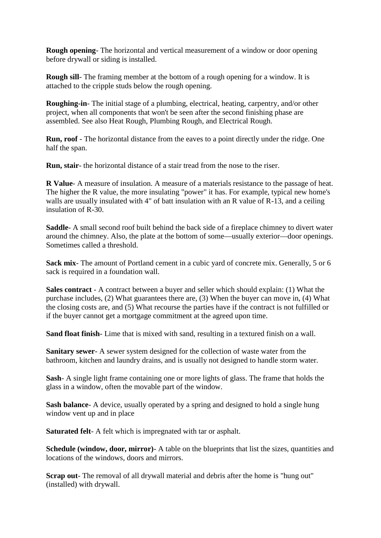**Rough opening**- The horizontal and vertical measurement of a window or door opening before drywall or siding is installed.

**Rough sill**- The framing member at the bottom of a rough opening for a window. It is attached to the cripple studs below the rough opening.

**Roughing-in**- The initial stage of a plumbing, electrical, heating, carpentry, and/or other project, when all components that won't be seen after the second finishing phase are assembled. See also Heat Rough, Plumbing Rough, and Electrical Rough.

**Run, roof** - The horizontal distance from the eaves to a point directly under the ridge. One half the span.

**Run, stair**- the horizontal distance of a stair tread from the nose to the riser.

**R Value**- A measure of insulation. A measure of a materials resistance to the passage of heat. The higher the R value, the more insulating "power" it has. For example, typical new home's walls are usually insulated with 4" of batt insulation with an R value of R-13, and a ceiling insulation of R-30.

**Saddle**- A small second roof built behind the back side of a fireplace chimney to divert water around the chimney. Also, the plate at the bottom of some—usually exterior—door openings. Sometimes called a threshold.

Sack mix- The amount of Portland cement in a cubic yard of concrete mix. Generally, 5 or 6 sack is required in a foundation wall.

**Sales contract** - A contract between a buyer and seller which should explain: (1) What the purchase includes, (2) What guarantees there are, (3) When the buyer can move in, (4) What the closing costs are, and (5) What recourse the parties have if the contract is not fulfilled or if the buyer cannot get a mortgage commitment at the agreed upon time.

**Sand float finish**- Lime that is mixed with sand, resulting in a textured finish on a wall.

**Sanitary sewer**- A sewer system designed for the collection of waste water from the bathroom, kitchen and laundry drains, and is usually not designed to handle storm water.

**Sash**- A single light frame containing one or more lights of glass. The frame that holds the glass in a window, often the movable part of the window.

**Sash balance**- A device, usually operated by a spring and designed to hold a single hung window vent up and in place

**Saturated felt**- A felt which is impregnated with tar or asphalt.

**Schedule (window, door, mirror)**- A table on the blueprints that list the sizes, quantities and locations of the windows, doors and mirrors.

**Scrap out**- The removal of all drywall material and debris after the home is "hung out" (installed) with drywall.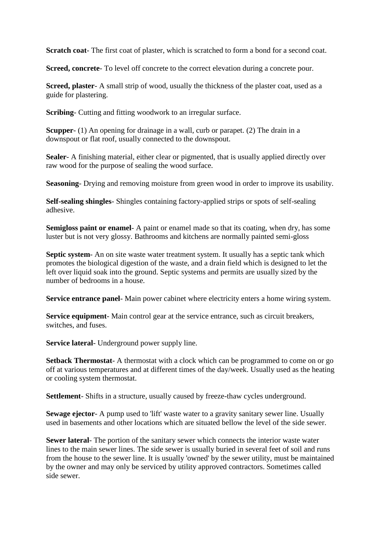**Scratch coat**- The first coat of plaster, which is scratched to form a bond for a second coat.

**Screed, concrete**- To level off concrete to the correct elevation during a concrete pour.

**Screed, plaster-** A small strip of wood, usually the thickness of the plaster coat, used as a guide for plastering.

**Scribing**- Cutting and fitting woodwork to an irregular surface.

**Scupper**- (1) An opening for drainage in a wall, curb or parapet. (2) The drain in a downspout or flat roof, usually connected to the downspout.

**Sealer**- A finishing material, either clear or pigmented, that is usually applied directly over raw wood for the purpose of sealing the wood surface.

**Seasoning**- Drying and removing moisture from green wood in order to improve its usability.

**Self-sealing shingles**- Shingles containing factory-applied strips or spots of self-sealing adhesive.

**Semigloss paint or enamel-** A paint or enamel made so that its coating, when dry, has some luster but is not very glossy. Bathrooms and kitchens are normally painted semi-gloss

**Septic system**- An on site waste water treatment system. It usually has a septic tank which promotes the biological digestion of the waste, and a drain field which is designed to let the left over liquid soak into the ground. Septic systems and permits are usually sized by the number of bedrooms in a house.

**Service entrance panel**- Main power cabinet where electricity enters a home wiring system.

**Service equipment**- Main control gear at the service entrance, such as circuit breakers, switches, and fuses.

**Service lateral**- Underground power supply line.

**Setback Thermostat**- A thermostat with a clock which can be programmed to come on or go off at various temperatures and at different times of the day/week. Usually used as the heating or cooling system thermostat.

**Settlement**- Shifts in a structure, usually caused by freeze-thaw cycles underground.

**Sewage ejector-** A pump used to 'lift' waste water to a gravity sanitary sewer line. Usually used in basements and other locations which are situated bellow the level of the side sewer.

**Sewer lateral**- The portion of the sanitary sewer which connects the interior waste water lines to the main sewer lines. The side sewer is usually buried in several feet of soil and runs from the house to the sewer line. It is usually 'owned' by the sewer utility, must be maintained by the owner and may only be serviced by utility approved contractors. Sometimes called side sewer.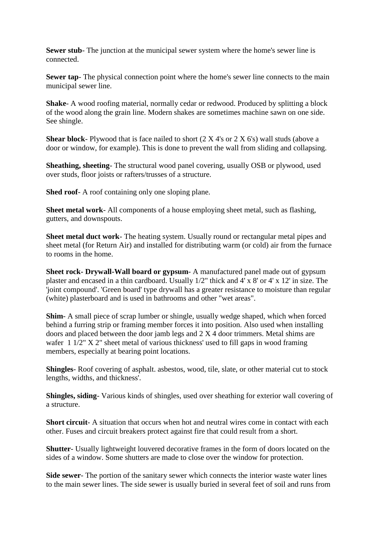**Sewer stub**- The junction at the municipal sewer system where the home's sewer line is connected.

**Sewer tap**- The physical connection point where the home's sewer line connects to the main municipal sewer line.

**Shake**- A wood roofing material, normally cedar or redwood. Produced by splitting a block of the wood along the grain line. Modern shakes are sometimes machine sawn on one side. See shingle.

**Shear block**- Plywood that is face nailed to short (2 X 4's or 2 X 6's) wall studs (above a door or window, for example). This is done to prevent the wall from sliding and collapsing.

**Sheathing, sheeting**- The structural wood panel covering, usually OSB or plywood, used over studs, floor joists or rafters/trusses of a structure.

**Shed roof-** A roof containing only one sloping plane.

**Sheet metal work**- All components of a house employing sheet metal, such as flashing, gutters, and downspouts.

**Sheet metal duct work**- The heating system. Usually round or rectangular metal pipes and sheet metal (for Return Air) and installed for distributing warm (or cold) air from the furnace to rooms in the home.

**Sheet rock- Drywall-Wall board or gypsum**- A manufactured panel made out of gypsum plaster and encased in a thin cardboard. Usually 1/2" thick and 4' x 8' or 4' x 12' in size. The 'joint compound'. 'Green board' type drywall has a greater resistance to moisture than regular (white) plasterboard and is used in bathrooms and other "wet areas".

**Shim**- A small piece of scrap lumber or shingle, usually wedge shaped, which when forced behind a furring strip or framing member forces it into position. Also used when installing doors and placed between the door jamb legs and 2 X 4 door trimmers. Metal shims are wafer 1 1/2" X 2" sheet metal of various thickness' used to fill gaps in wood framing members, especially at bearing point locations.

**Shingles**- Roof covering of asphalt. asbestos, wood, tile, slate, or other material cut to stock lengths, widths, and thickness'.

**Shingles, siding**- Various kinds of shingles, used over sheathing for exterior wall covering of a structure.

**Short circuit**- A situation that occurs when hot and neutral wires come in contact with each other. Fuses and circuit breakers protect against fire that could result from a short.

**Shutter**- Usually lightweight louvered decorative frames in the form of doors located on the sides of a window. Some shutters are made to close over the window for protection.

**Side sewer**- The portion of the sanitary sewer which connects the interior waste water lines to the main sewer lines. The side sewer is usually buried in several feet of soil and runs from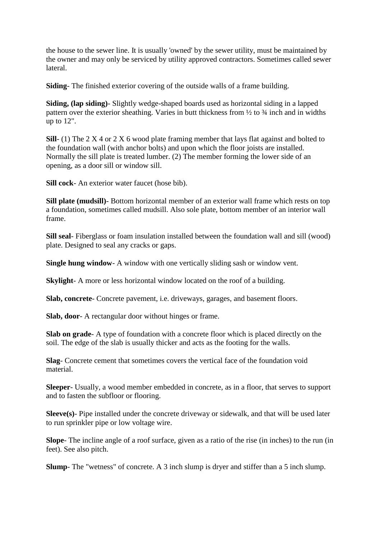the house to the sewer line. It is usually 'owned' by the sewer utility, must be maintained by the owner and may only be serviced by utility approved contractors. Sometimes called sewer lateral.

**Siding**- The finished exterior covering of the outside walls of a frame building.

**Siding, (lap siding)**- Slightly wedge-shaped boards used as horizontal siding in a lapped pattern over the exterior sheathing. Varies in butt thickness from ½ to ¾ inch and in widths up to 12".

**Sill**- (1) The 2 X 4 or 2 X 6 wood plate framing member that lays flat against and bolted to the foundation wall (with anchor bolts) and upon which the floor joists are installed. Normally the sill plate is treated lumber. (2) The member forming the lower side of an opening, as a door sill or window sill.

**Sill cock**- An exterior water faucet (hose bib).

**Sill plate (mudsill)**- Bottom horizontal member of an exterior wall frame which rests on top a foundation, sometimes called mudsill. Also sole plate, bottom member of an interior wall frame.

**Sill seal**- Fiberglass or foam insulation installed between the foundation wall and sill (wood) plate. Designed to seal any cracks or gaps.

**Single hung window**- A window with one vertically sliding sash or window vent.

**Skylight**- A more or less horizontal window located on the roof of a building.

**Slab, concrete**- Concrete pavement, i.e. driveways, garages, and basement floors.

**Slab, door**- A rectangular door without hinges or frame.

**Slab on grade**- A type of foundation with a concrete floor which is placed directly on the soil. The edge of the slab is usually thicker and acts as the footing for the walls.

**Slag**- Concrete cement that sometimes covers the vertical face of the foundation void material.

**Sleeper**- Usually, a wood member embedded in concrete, as in a floor, that serves to support and to fasten the subfloor or flooring.

**Sleeve(s)**- Pipe installed under the concrete driveway or sidewalk, and that will be used later to run sprinkler pipe or low voltage wire.

**Slope**- The incline angle of a roof surface, given as a ratio of the rise (in inches) to the run (in feet). See also pitch.

**Slump**- The "wetness" of concrete. A 3 inch slump is dryer and stiffer than a 5 inch slump.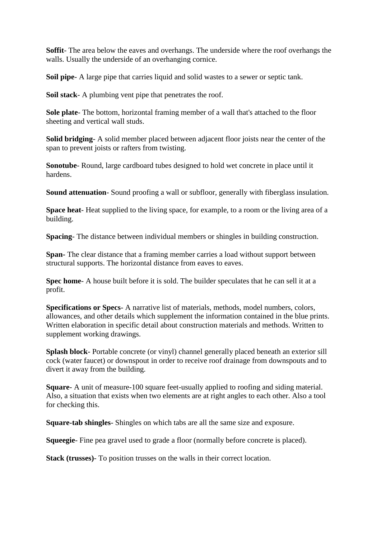**Soffit**- The area below the eaves and overhangs. The underside where the roof overhangs the walls. Usually the underside of an overhanging cornice.

**Soil pipe**- A large pipe that carries liquid and solid wastes to a sewer or septic tank.

**Soil stack**- A plumbing vent pipe that penetrates the roof.

**Sole plate**- The bottom, horizontal framing member of a wall that's attached to the floor sheeting and vertical wall studs.

**Solid bridging**- A solid member placed between adjacent floor joists near the center of the span to prevent joists or rafters from twisting.

**Sonotube**- Round, large cardboard tubes designed to hold wet concrete in place until it hardens.

**Sound attenuation**- Sound proofing a wall or subfloor, generally with fiberglass insulation.

**Space heat**- Heat supplied to the living space, for example, to a room or the living area of a building.

**Spacing**- The distance between individual members or shingles in building construction.

**Span-** The clear distance that a framing member carries a load without support between structural supports. The horizontal distance from eaves to eaves.

**Spec home**- A house built before it is sold. The builder speculates that he can sell it at a profit.

**Specifications or Specs**- A narrative list of materials, methods, model numbers, colors, allowances, and other details which supplement the information contained in the blue prints. Written elaboration in specific detail about construction materials and methods. Written to supplement working drawings.

**Splash block**- Portable concrete (or vinyl) channel generally placed beneath an exterior sill cock (water faucet) or downspout in order to receive roof drainage from downspouts and to divert it away from the building.

**Square**- A unit of measure-100 square feet-usually applied to roofing and siding material. Also, a situation that exists when two elements are at right angles to each other. Also a tool for checking this.

**Square-tab shingles**- Shingles on which tabs are all the same size and exposure.

**Squeegie**- Fine pea gravel used to grade a floor (normally before concrete is placed).

**Stack (trusses)**- To position trusses on the walls in their correct location.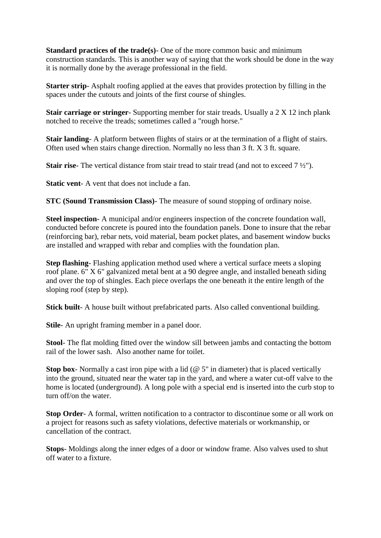**Standard practices of the trade(s)**- One of the more common basic and minimum construction standards. This is another way of saying that the work should be done in the way it is normally done by the average professional in the field.

**Starter strip**- Asphalt roofing applied at the eaves that provides protection by filling in the spaces under the cutouts and joints of the first course of shingles.

**Stair carriage or stringer**- Supporting member for stair treads. Usually a 2 X 12 inch plank notched to receive the treads; sometimes called a "rough horse."

**Stair landing**- A platform between flights of stairs or at the termination of a flight of stairs. Often used when stairs change direction. Normally no less than 3 ft. X 3 ft. square.

**Stair rise**- The vertical distance from stair tread to stair tread (and not to exceed  $7\frac{1}{2}$ ").

**Static vent**- A vent that does not include a fan.

**STC (Sound Transmission Class)**- The measure of sound stopping of ordinary noise.

**Steel inspection**- A municipal and/or engineers inspection of the concrete foundation wall, conducted before concrete is poured into the foundation panels. Done to insure that the rebar (reinforcing bar), rebar nets, void material, beam pocket plates, and basement window bucks are installed and wrapped with rebar and complies with the foundation plan.

**Step flashing**- Flashing application method used where a vertical surface meets a sloping roof plane. 6" X 6" galvanized metal bent at a 90 degree angle, and installed beneath siding and over the top of shingles. Each piece overlaps the one beneath it the entire length of the sloping roof (step by step).

**Stick built**- A house built without prefabricated parts. Also called conventional building.

**Stile**- An upright framing member in a panel door.

**Stool**- The flat molding fitted over the window sill between jambs and contacting the bottom rail of the lower sash. Also another name for toilet.

**Stop box**- Normally a cast iron pipe with a lid ( $@$  5" in diameter) that is placed vertically into the ground, situated near the water tap in the yard, and where a water cut-off valve to the home is located (underground). A long pole with a special end is inserted into the curb stop to turn off/on the water.

**Stop Order**- A formal, written notification to a contractor to discontinue some or all work on a project for reasons such as safety violations, defective materials or workmanship, or cancellation of the contract.

**Stops**- Moldings along the inner edges of a door or window frame. Also valves used to shut off water to a fixture.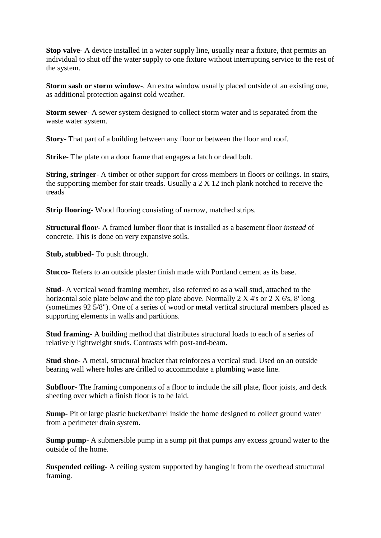**Stop valve**- A device installed in a water supply line, usually near a fixture, that permits an individual to shut off the water supply to one fixture without interrupting service to the rest of the system.

**Storm sash or storm window**-. An extra window usually placed outside of an existing one, as additional protection against cold weather.

**Storm sewer**- A sewer system designed to collect storm water and is separated from the waste water system.

**Story**- That part of a building between any floor or between the floor and roof.

**Strike**- The plate on a door frame that engages a latch or dead bolt.

**String, stringer**- A timber or other support for cross members in floors or ceilings. In stairs, the supporting member for stair treads. Usually a 2 X 12 inch plank notched to receive the treads

**Strip flooring**- Wood flooring consisting of narrow, matched strips.

**Structural floor**- A framed lumber floor that is installed as a basement floor *instead* of concrete. This is done on very expansive soils.

**Stub, stubbed**- To push through.

**Stucco**- Refers to an outside plaster finish made with Portland cement as its base.

**Stud**- A vertical wood framing member, also referred to as a wall stud, attached to the horizontal sole plate below and the top plate above. Normally 2 X 4's or 2 X 6's, 8' long (sometimes 92 5/8"). One of a series of wood or metal vertical structural members placed as supporting elements in walls and partitions.

**Stud framing**- A building method that distributes structural loads to each of a series of relatively lightweight studs. Contrasts with post-and-beam.

**Stud shoe**- A metal, structural bracket that reinforces a vertical stud. Used on an outside bearing wall where holes are drilled to accommodate a plumbing waste line.

**Subfloor**- The framing components of a floor to include the sill plate, floor joists, and deck sheeting over which a finish floor is to be laid.

**Sump**- Pit or large plastic bucket/barrel inside the home designed to collect ground water from a perimeter drain system.

**Sump pump**- A submersible pump in a sump pit that pumps any excess ground water to the outside of the home.

**Suspended ceiling**- A ceiling system supported by hanging it from the overhead structural framing.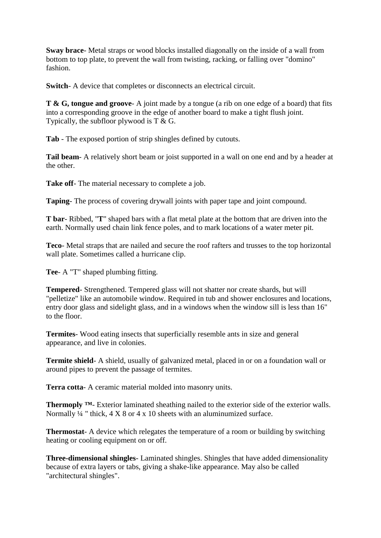**Sway brace**- Metal straps or wood blocks installed diagonally on the inside of a wall from bottom to top plate, to prevent the wall from twisting, racking, or falling over "domino" fashion.

**Switch**- A device that completes or disconnects an electrical circuit.

**T & G, tongue and groove**- A joint made by a tongue (a rib on one edge of a board) that fits into a corresponding groove in the edge of another board to make a tight flush joint. Typically, the subfloor plywood is T & G.

**Tab** - The exposed portion of strip shingles defined by cutouts.

**Tail beam**- A relatively short beam or joist supported in a wall on one end and by a header at the other.

**Take off**- The material necessary to complete a job.

**Taping**- The process of covering drywall joints with paper tape and joint compound.

**T bar**- Ribbed, "**T**" shaped bars with a flat metal plate at the bottom that are driven into the earth. Normally used chain link fence poles, and to mark locations of a water meter pit.

**Teco**- Metal straps that are nailed and secure the roof rafters and trusses to the top horizontal wall plate. Sometimes called a hurricane clip.

**Tee**- A "T" shaped plumbing fitting.

**Tempered**- Strengthened. Tempered glass will not shatter nor create shards, but will "pelletize" like an automobile window. Required in tub and shower enclosures and locations, entry door glass and sidelight glass, and in a windows when the window sill is less than 16" to the floor.

**Termites**- Wood eating insects that superficially resemble ants in size and general appearance, and live in colonies.

**Termite shield**- A shield, usually of galvanized metal, placed in or on a foundation wall or around pipes to prevent the passage of termites.

**Terra cotta**- A ceramic material molded into masonry units.

**Thermoply ™**- Exterior laminated sheathing nailed to the exterior side of the exterior walls. Normally  $\frac{1}{4}$  " thick,  $4 \times 8$  or  $4 \times 10$  sheets with an aluminumized surface.

**Thermostat**- A device which relegates the temperature of a room or building by switching heating or cooling equipment on or off.

**Three-dimensional shingles**- Laminated shingles. Shingles that have added dimensionality because of extra layers or tabs, giving a shake-like appearance. May also be called "architectural shingles".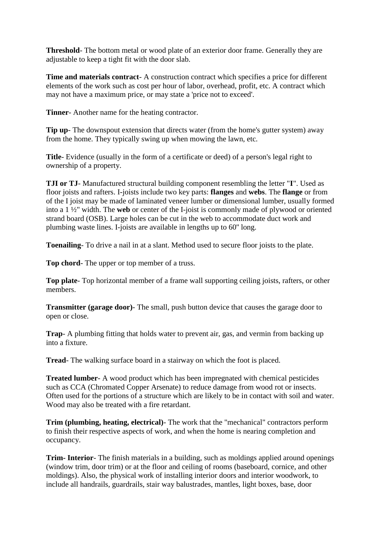**Threshold**- The bottom metal or wood plate of an exterior door frame. Generally they are adjustable to keep a tight fit with the door slab.

**Time and materials contract**- A construction contract which specifies a price for different elements of the work such as cost per hour of labor, overhead, profit, etc. A contract which may not have a maximum price, or may state a 'price not to exceed'.

**Tinner**- Another name for the heating contractor.

**Tip up**- The downspout extension that directs water (from the home's gutter system) away from the home. They typically swing up when mowing the lawn, etc.

**Title**- Evidence (usually in the form of a certificate or deed) of a person's legal right to ownership of a property.

**TJI or TJ**- Manufactured structural building component resembling the letter "**I**". Used as floor joists and rafters. I-joists include two key parts: **flanges** and **webs**. The **flange** or from of the I joist may be made of laminated veneer lumber or dimensional lumber, usually formed into a 1 ½" width. The **web** or center of the I-joist is commonly made of plywood or oriented strand board (OSB). Large holes can be cut in the web to accommodate duct work and plumbing waste lines. I-joists are available in lengths up to 60'' long.

**Toenailing**- To drive a nail in at a slant. Method used to secure floor joists to the plate.

**Top chord**- The upper or top member of a truss.

**Top plate**- Top horizontal member of a frame wall supporting ceiling joists, rafters, or other members.

**Transmitter (garage door)**- The small, push button device that causes the garage door to open or close.

**Trap**- A plumbing fitting that holds water to prevent air, gas, and vermin from backing up into a fixture.

**Tread**- The walking surface board in a stairway on which the foot is placed.

**Treated lumber**- A wood product which has been impregnated with chemical pesticides such as CCA (Chromated Copper Arsenate) to reduce damage from wood rot or insects. Often used for the portions of a structure which are likely to be in contact with soil and water. Wood may also be treated with a fire retardant.

**Trim (plumbing, heating, electrical)**- The work that the "mechanical" contractors perform to finish their respective aspects of work, and when the home is nearing completion and occupancy.

**Trim- Interior**- The finish materials in a building, such as moldings applied around openings (window trim, door trim) or at the floor and ceiling of rooms (baseboard, cornice, and other moldings). Also, the physical work of installing interior doors and interior woodwork, to include all handrails, guardrails, stair way balustrades, mantles, light boxes, base, door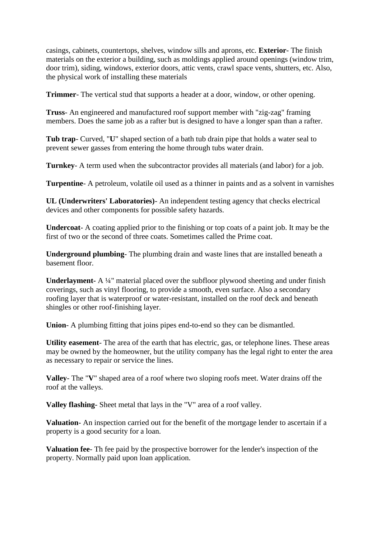casings, cabinets, countertops, shelves, window sills and aprons, etc. **Exterior**- The finish materials on the exterior a building, such as moldings applied around openings (window trim, door trim), siding, windows, exterior doors, attic vents, crawl space vents, shutters, etc. Also, the physical work of installing these materials

**Trimmer**- The vertical stud that supports a header at a door, window, or other opening.

**Truss**- An engineered and manufactured roof support member with "zig-zag" framing members. Does the same job as a rafter but is designed to have a longer span than a rafter.

**Tub trap**- Curved, "**U**" shaped section of a bath tub drain pipe that holds a water seal to prevent sewer gasses from entering the home through tubs water drain.

**Turnkey**- A term used when the subcontractor provides all materials (and labor) for a job.

**Turpentine**- A petroleum, volatile oil used as a thinner in paints and as a solvent in varnishes

**UL (Underwriters' Laboratories)**- An independent testing agency that checks electrical devices and other components for possible safety hazards.

**Undercoat**- A coating applied prior to the finishing or top coats of a paint job. It may be the first of two or the second of three coats. Sometimes called the Prime coat.

**Underground plumbing**- The plumbing drain and waste lines that are installed beneath a basement floor.

**Underlayment-** A ¼" material placed over the subfloor plywood sheeting and under finish coverings, such as vinyl flooring, to provide a smooth, even surface. Also a secondary roofing layer that is waterproof or water-resistant, installed on the roof deck and beneath shingles or other roof-finishing layer.

**Union**- A plumbing fitting that joins pipes end-to-end so they can be dismantled.

**Utility easement**- The area of the earth that has electric, gas, or telephone lines. These areas may be owned by the homeowner, but the utility company has the legal right to enter the area as necessary to repair or service the lines.

**Valley**- The "**V**" shaped area of a roof where two sloping roofs meet. Water drains off the roof at the valleys.

**Valley flashing**- Sheet metal that lays in the "V" area of a roof valley.

**Valuation**- An inspection carried out for the benefit of the mortgage lender to ascertain if a property is a good security for a loan.

**Valuation fee**- Th fee paid by the prospective borrower for the lender's inspection of the property. Normally paid upon loan application.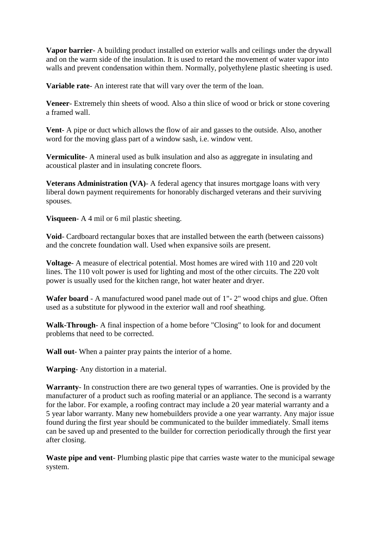**Vapor barrier**- A building product installed on exterior walls and ceilings under the drywall and on the warm side of the insulation. It is used to retard the movement of water vapor into walls and prevent condensation within them. Normally, polyethylene plastic sheeting is used.

**Variable rate**- An interest rate that will vary over the term of the loan.

**Veneer**- Extremely thin sheets of wood. Also a thin slice of wood or brick or stone covering a framed wall.

**Vent**- A pipe or duct which allows the flow of air and gasses to the outside. Also, another word for the moving glass part of a window sash, i.e. window vent.

**Vermiculite**- A mineral used as bulk insulation and also as aggregate in insulating and acoustical plaster and in insulating concrete floors.

**Veterans Administration (VA)**- A federal agency that insures mortgage loans with very liberal down payment requirements for honorably discharged veterans and their surviving spouses.

**Visqueen**- A 4 mil or 6 mil plastic sheeting.

**Void**- Cardboard rectangular boxes that are installed between the earth (between caissons) and the concrete foundation wall. Used when expansive soils are present.

**Voltage**- A measure of electrical potential. Most homes are wired with 110 and 220 volt lines. The 110 volt power is used for lighting and most of the other circuits. The 220 volt power is usually used for the kitchen range, hot water heater and dryer.

**Wafer board** - A manufactured wood panel made out of 1"- 2" wood chips and glue. Often used as a substitute for plywood in the exterior wall and roof sheathing.

**Walk-Through**- A final inspection of a home before "Closing" to look for and document problems that need to be corrected.

**Wall out**- When a painter pray paints the interior of a home.

**Warping**- Any distortion in a material.

**Warranty**- In construction there are two general types of warranties. One is provided by the manufacturer of a product such as roofing material or an appliance. The second is a warranty for the labor. For example, a roofing contract may include a 20 year material warranty and a 5 year labor warranty. Many new homebuilders provide a one year warranty. Any major issue found during the first year should be communicated to the builder immediately. Small items can be saved up and presented to the builder for correction periodically through the first year after closing.

**Waste pipe and vent**- Plumbing plastic pipe that carries waste water to the municipal sewage system.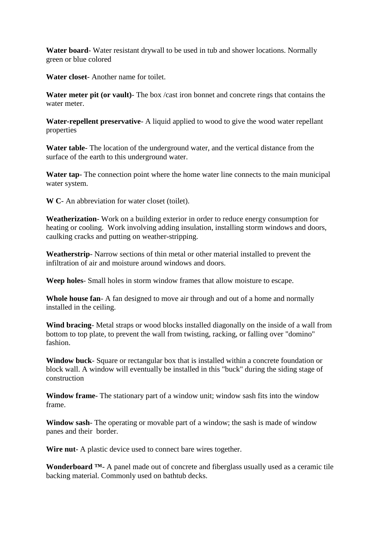**Water board**- Water resistant drywall to be used in tub and shower locations. Normally green or blue colored

**Water closet**- Another name for toilet.

**Water meter pit (or vault)**- The box /cast iron bonnet and concrete rings that contains the water meter.

**Water-repellent preservative**- A liquid applied to wood to give the wood water repellant properties

**Water table**- The location of the underground water, and the vertical distance from the surface of the earth to this underground water.

**Water tap**- The connection point where the home water line connects to the main municipal water system.

**W C**- An abbreviation for water closet (toilet).

**Weatherization**- Work on a building exterior in order to reduce energy consumption for heating or cooling. Work involving adding insulation, installing storm windows and doors, caulking cracks and putting on weather-stripping.

**Weatherstrip**- Narrow sections of thin metal or other material installed to prevent the infiltration of air and moisture around windows and doors.

**Weep holes**- Small holes in storm window frames that allow moisture to escape.

**Whole house fan**- A fan designed to move air through and out of a home and normally installed in the ceiling.

**Wind bracing**- Metal straps or wood blocks installed diagonally on the inside of a wall from bottom to top plate, to prevent the wall from twisting, racking, or falling over "domino" fashion.

**Window buck**- Square or rectangular box that is installed within a concrete foundation or block wall. A window will eventually be installed in this "buck" during the siding stage of construction

**Window frame**- The stationary part of a window unit; window sash fits into the window frame.

**Window sash**- The operating or movable part of a window; the sash is made of window panes and their border.

**Wire nut**- A plastic device used to connect bare wires together.

**Wonderboard ™**- A panel made out of concrete and fiberglass usually used as a ceramic tile backing material. Commonly used on bathtub decks.